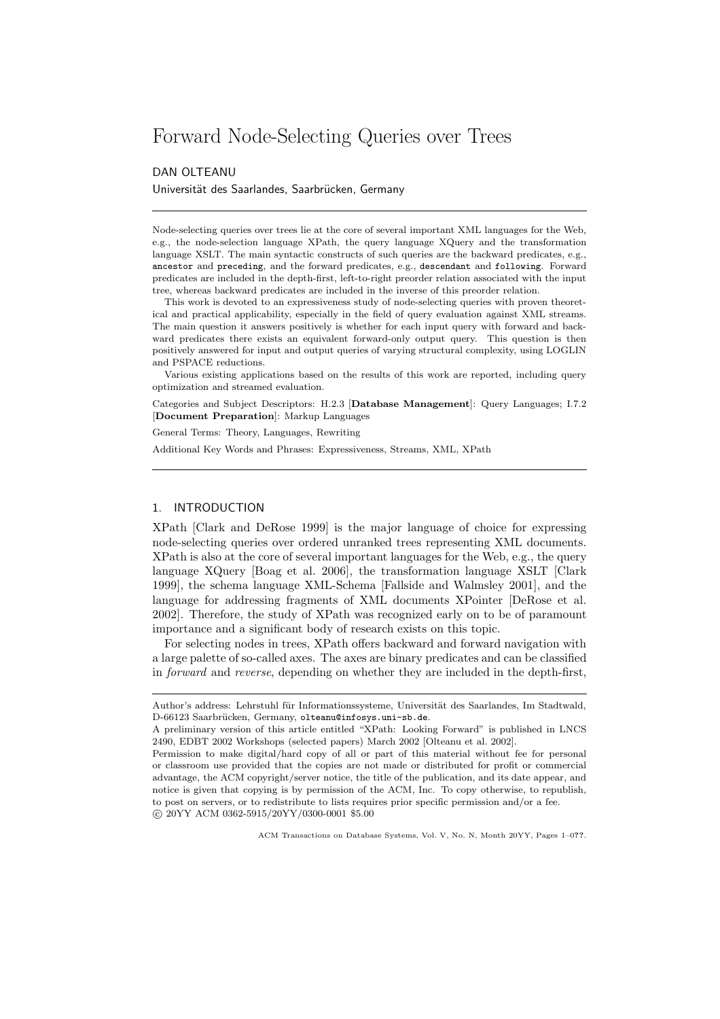# Forward Node-Selecting Queries over Trees

## DAN OLTEANU

Universität des Saarlandes, Saarbrücken, Germany

Node-selecting queries over trees lie at the core of several important XML languages for the Web, e.g., the node-selection language XPath, the query language XQuery and the transformation language XSLT. The main syntactic constructs of such queries are the backward predicates, e.g., ancestor and preceding, and the forward predicates, e.g., descendant and following. Forward predicates are included in the depth-first, left-to-right preorder relation associated with the input tree, whereas backward predicates are included in the inverse of this preorder relation.

This work is devoted to an expressiveness study of node-selecting queries with proven theoretical and practical applicability, especially in the field of query evaluation against XML streams. The main question it answers positively is whether for each input query with forward and backward predicates there exists an equivalent forward-only output query. This question is then positively answered for input and output queries of varying structural complexity, using LOGLIN and PSPACE reductions.

Various existing applications based on the results of this work are reported, including query optimization and streamed evaluation.

Categories and Subject Descriptors: H.2.3 [Database Management]: Query Languages; I.7.2 [Document Preparation]: Markup Languages

General Terms: Theory, Languages, Rewriting

Additional Key Words and Phrases: Expressiveness, Streams, XML, XPath

## 1. INTRODUCTION

XPath [Clark and DeRose 1999] is the major language of choice for expressing node-selecting queries over ordered unranked trees representing XML documents. XPath is also at the core of several important languages for the Web, e.g., the query language XQuery [Boag et al. 2006], the transformation language XSLT [Clark 1999], the schema language XML-Schema [Fallside and Walmsley 2001], and the language for addressing fragments of XML documents XPointer [DeRose et al. 2002]. Therefore, the study of XPath was recognized early on to be of paramount importance and a significant body of research exists on this topic.

For selecting nodes in trees, XPath offers backward and forward navigation with a large palette of so-called axes. The axes are binary predicates and can be classified in forward and reverse, depending on whether they are included in the depth-first,

Author's address: Lehrstuhl für Informationssysteme, Universität des Saarlandes, Im Stadtwald, D-66123 Saarbrücken, Germany, olteanu@infosys.uni-sb.de.

A preliminary version of this article entitled "XPath: Looking Forward" is published in LNCS 2490, EDBT 2002 Workshops (selected papers) March 2002 [Olteanu et al. 2002].

Permission to make digital/hard copy of all or part of this material without fee for personal or classroom use provided that the copies are not made or distributed for profit or commercial advantage, the ACM copyright/server notice, the title of the publication, and its date appear, and notice is given that copying is by permission of the ACM, Inc. To copy otherwise, to republish, to post on servers, or to redistribute to lists requires prior specific permission and/or a fee. c 20YY ACM 0362-5915/20YY/0300-0001 \$5.00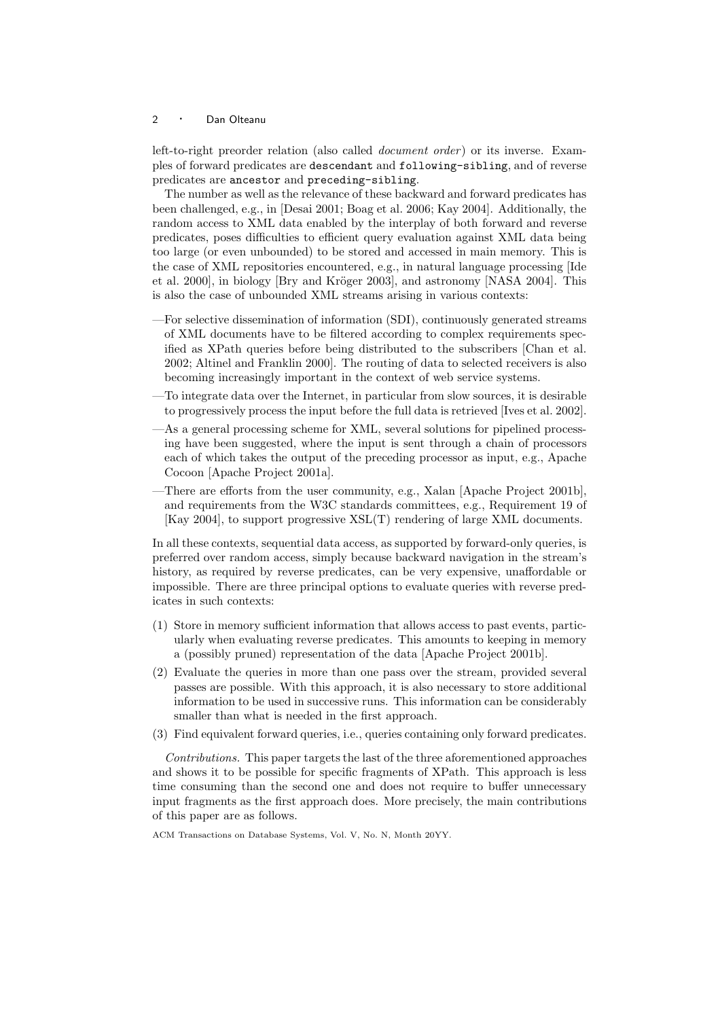left-to-right preorder relation (also called *document order*) or its inverse. Examples of forward predicates are descendant and following-sibling, and of reverse predicates are ancestor and preceding-sibling.

The number as well as the relevance of these backward and forward predicates has been challenged, e.g., in [Desai 2001; Boag et al. 2006; Kay 2004]. Additionally, the random access to XML data enabled by the interplay of both forward and reverse predicates, poses difficulties to efficient query evaluation against XML data being too large (or even unbounded) to be stored and accessed in main memory. This is the case of XML repositories encountered, e.g., in natural language processing [Ide et al. 2000], in biology  $[By and Kröger 2003]$ , and astronomy  $[NASA 2004]$ . This is also the case of unbounded XML streams arising in various contexts:

- —For selective dissemination of information (SDI), continuously generated streams of XML documents have to be filtered according to complex requirements specified as XPath queries before being distributed to the subscribers [Chan et al. 2002; Altinel and Franklin 2000]. The routing of data to selected receivers is also becoming increasingly important in the context of web service systems.
- —To integrate data over the Internet, in particular from slow sources, it is desirable to progressively process the input before the full data is retrieved [Ives et al. 2002].
- —As a general processing scheme for XML, several solutions for pipelined processing have been suggested, where the input is sent through a chain of processors each of which takes the output of the preceding processor as input, e.g., Apache Cocoon [Apache Project 2001a].
- —There are efforts from the user community, e.g., Xalan [Apache Project 2001b], and requirements from the W3C standards committees, e.g., Requirement 19 of [Kay 2004], to support progressive XSL(T) rendering of large XML documents.

In all these contexts, sequential data access, as supported by forward-only queries, is preferred over random access, simply because backward navigation in the stream's history, as required by reverse predicates, can be very expensive, unaffordable or impossible. There are three principal options to evaluate queries with reverse predicates in such contexts:

- (1) Store in memory sufficient information that allows access to past events, particularly when evaluating reverse predicates. This amounts to keeping in memory a (possibly pruned) representation of the data [Apache Project 2001b].
- (2) Evaluate the queries in more than one pass over the stream, provided several passes are possible. With this approach, it is also necessary to store additional information to be used in successive runs. This information can be considerably smaller than what is needed in the first approach.
- (3) Find equivalent forward queries, i.e., queries containing only forward predicates.

Contributions. This paper targets the last of the three aforementioned approaches and shows it to be possible for specific fragments of XPath. This approach is less time consuming than the second one and does not require to buffer unnecessary input fragments as the first approach does. More precisely, the main contributions of this paper are as follows.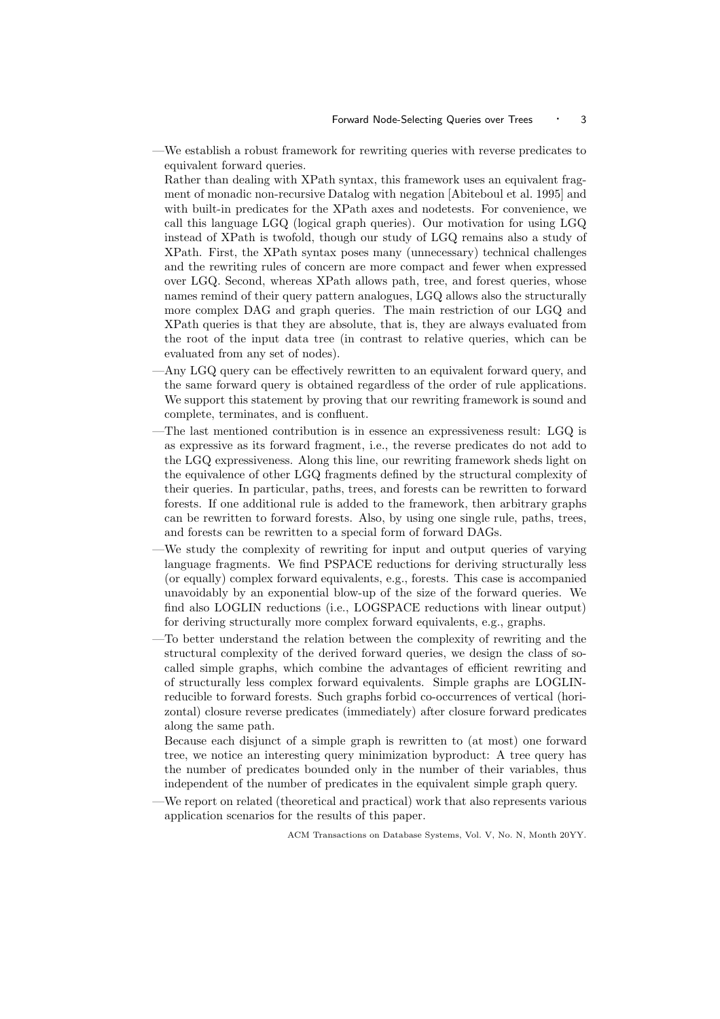—We establish a robust framework for rewriting queries with reverse predicates to equivalent forward queries.

Rather than dealing with XPath syntax, this framework uses an equivalent fragment of monadic non-recursive Datalog with negation [Abiteboul et al. 1995] and with built-in predicates for the XPath axes and nodetests. For convenience, we call this language LGQ (logical graph queries). Our motivation for using LGQ instead of XPath is twofold, though our study of LGQ remains also a study of XPath. First, the XPath syntax poses many (unnecessary) technical challenges and the rewriting rules of concern are more compact and fewer when expressed over LGQ. Second, whereas XPath allows path, tree, and forest queries, whose names remind of their query pattern analogues, LGQ allows also the structurally more complex DAG and graph queries. The main restriction of our LGQ and XPath queries is that they are absolute, that is, they are always evaluated from the root of the input data tree (in contrast to relative queries, which can be evaluated from any set of nodes).

- —Any LGQ query can be effectively rewritten to an equivalent forward query, and the same forward query is obtained regardless of the order of rule applications. We support this statement by proving that our rewriting framework is sound and complete, terminates, and is confluent.
- —The last mentioned contribution is in essence an expressiveness result: LGQ is as expressive as its forward fragment, i.e., the reverse predicates do not add to the LGQ expressiveness. Along this line, our rewriting framework sheds light on the equivalence of other LGQ fragments defined by the structural complexity of their queries. In particular, paths, trees, and forests can be rewritten to forward forests. If one additional rule is added to the framework, then arbitrary graphs can be rewritten to forward forests. Also, by using one single rule, paths, trees, and forests can be rewritten to a special form of forward DAGs.
- —We study the complexity of rewriting for input and output queries of varying language fragments. We find PSPACE reductions for deriving structurally less (or equally) complex forward equivalents, e.g., forests. This case is accompanied unavoidably by an exponential blow-up of the size of the forward queries. We find also LOGLIN reductions (i.e., LOGSPACE reductions with linear output) for deriving structurally more complex forward equivalents, e.g., graphs.
- —To better understand the relation between the complexity of rewriting and the structural complexity of the derived forward queries, we design the class of socalled simple graphs, which combine the advantages of efficient rewriting and of structurally less complex forward equivalents. Simple graphs are LOGLINreducible to forward forests. Such graphs forbid co-occurrences of vertical (horizontal) closure reverse predicates (immediately) after closure forward predicates along the same path.

Because each disjunct of a simple graph is rewritten to (at most) one forward tree, we notice an interesting query minimization byproduct: A tree query has the number of predicates bounded only in the number of their variables, thus independent of the number of predicates in the equivalent simple graph query.

—We report on related (theoretical and practical) work that also represents various application scenarios for the results of this paper.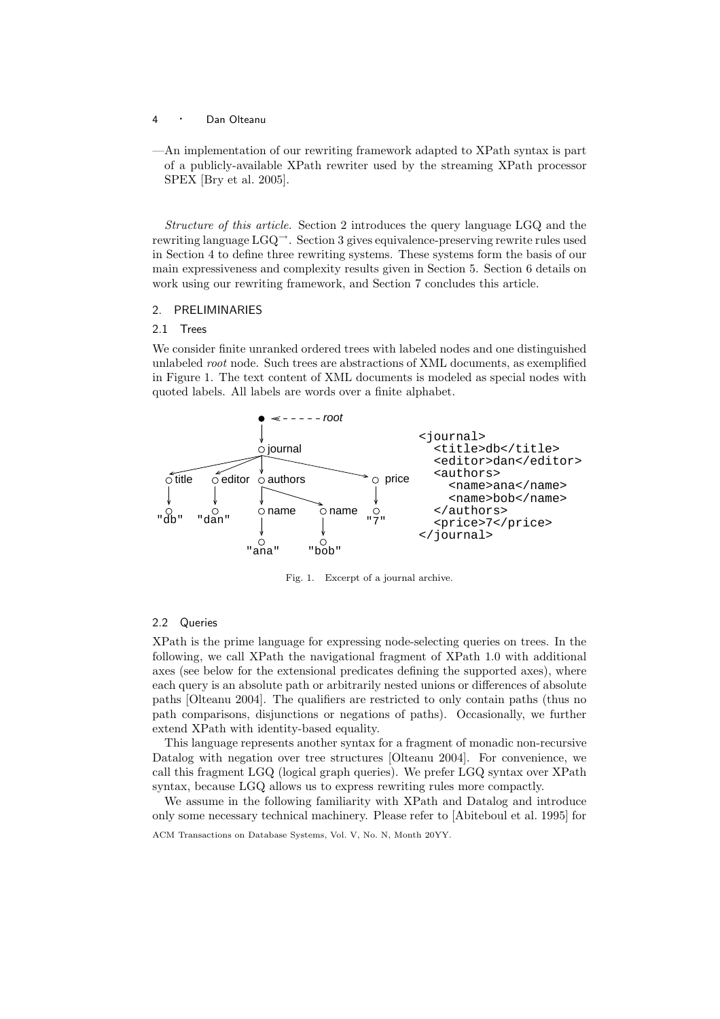- <sup>4</sup> · Dan Olteanu
- —An implementation of our rewriting framework adapted to XPath syntax is part of a publicly-available XPath rewriter used by the streaming XPath processor SPEX [Bry et al. 2005].

Structure of this article. Section 2 introduces the query language LGQ and the rewriting language LGQ→. Section 3 gives equivalence-preserving rewrite rules used in Section 4 to define three rewriting systems. These systems form the basis of our main expressiveness and complexity results given in Section 5. Section 6 details on work using our rewriting framework, and Section 7 concludes this article.

## 2. PRELIMINARIES

#### 2.1 Trees

We consider finite unranked ordered trees with labeled nodes and one distinguished unlabeled root node. Such trees are abstractions of XML documents, as exemplified in Figure 1. The text content of XML documents is modeled as special nodes with quoted labels. All labels are words over a finite alphabet.



Fig. 1. Excerpt of a journal archive.

## 2.2 Queries

XPath is the prime language for expressing node-selecting queries on trees. In the following, we call XPath the navigational fragment of XPath 1.0 with additional axes (see below for the extensional predicates defining the supported axes), where each query is an absolute path or arbitrarily nested unions or differences of absolute paths [Olteanu 2004]. The qualifiers are restricted to only contain paths (thus no path comparisons, disjunctions or negations of paths). Occasionally, we further extend XPath with identity-based equality.

This language represents another syntax for a fragment of monadic non-recursive Datalog with negation over tree structures [Olteanu 2004]. For convenience, we call this fragment LGQ (logical graph queries). We prefer LGQ syntax over XPath syntax, because LGQ allows us to express rewriting rules more compactly.

We assume in the following familiarity with XPath and Datalog and introduce only some necessary technical machinery. Please refer to [Abiteboul et al. 1995] for

ACM Transactions on Database Systems, Vol. V, No. N, Month 20YY.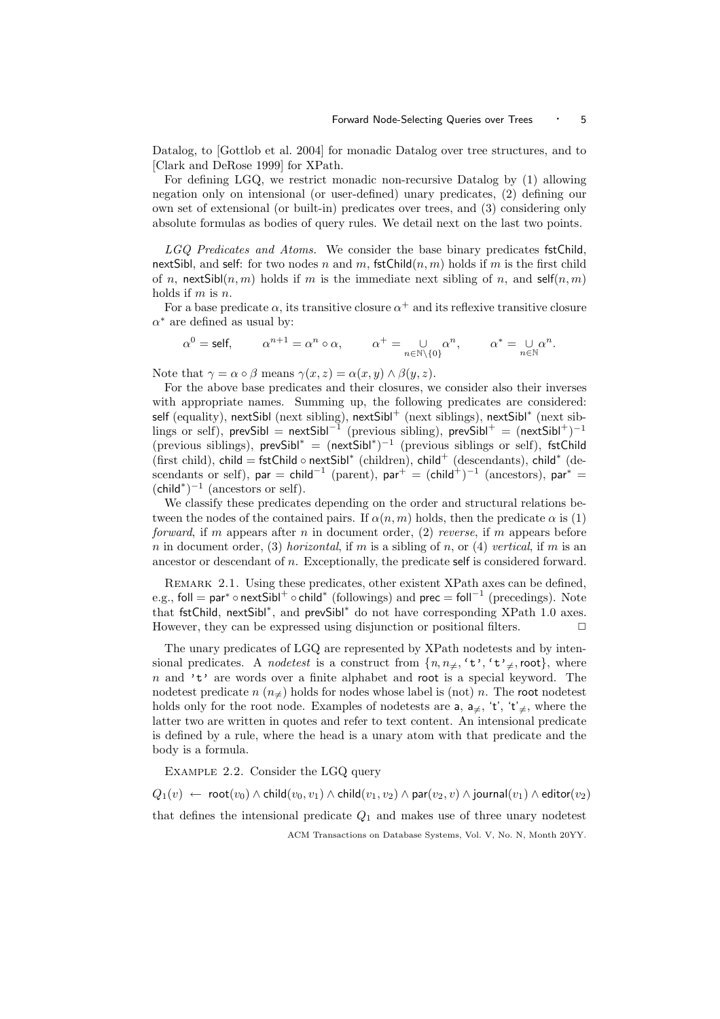Datalog, to [Gottlob et al. 2004] for monadic Datalog over tree structures, and to [Clark and DeRose 1999] for XPath.

For defining LGQ, we restrict monadic non-recursive Datalog by (1) allowing negation only on intensional (or user-defined) unary predicates, (2) defining our own set of extensional (or built-in) predicates over trees, and (3) considering only absolute formulas as bodies of query rules. We detail next on the last two points.

LGQ Predicates and Atoms. We consider the base binary predicates fstChild, nextSibl, and self: for two nodes n and m, fstChild $(n, m)$  holds if m is the first child of n, next Sibl(n, m) holds if m is the immediate next sibling of n, and self(n, m) holds if  $m$  is  $n$ .

For a base predicate  $\alpha$ , its transitive closure  $\alpha^+$  and its reflexive transitive closure  $\alpha^*$  are defined as usual by:

$$
\alpha^0 = \text{self}, \qquad \alpha^{n+1} = \alpha^n \circ \alpha, \qquad \alpha^+ = \bigcup_{n \in \mathbb{N} \backslash \{0\}} \alpha^n, \qquad \alpha^* = \bigcup_{n \in \mathbb{N}} \alpha^n.
$$

Note that  $\gamma = \alpha \circ \beta$  means  $\gamma(x, z) = \alpha(x, y) \wedge \beta(y, z)$ .

For the above base predicates and their closures, we consider also their inverses with appropriate names. Summing up, the following predicates are considered: self (equality), nextSibl (next sibling), nextSibl<sup>+</sup> (next siblings), nextSibl<sup>\*</sup> (next siblings or self), prevSibl =  $nextSibl^{-1}$  (previous sibling), prevSibl<sup>+</sup> =  $(nextSibl^{+})^{-1}$ (previous siblings), prevSibl<sup>\*</sup> =  $(nextSibl^*)^{-1}$  (previous siblings or self), fstChild (first child), child = fstChild ∘ nextSibl<sup>\*</sup> (children), child<sup>+</sup> (descendants), child<sup>\*</sup> (descendants or self), par = child<sup>-1</sup> (parent), par<sup>+</sup> = (child<sup>+</sup>)<sup>-1</sup> (ancestors), par<sup>\*</sup> =  $(\text{child}^*)^{-1}$  (ancestors or self).

We classify these predicates depending on the order and structural relations between the nodes of the contained pairs. If  $\alpha(n, m)$  holds, then the predicate  $\alpha$  is (1) *forward*, if m appears after n in document order,  $(2)$  reverse, if m appears before n in document order, (3) horizontal, if m is a sibling of n, or (4) vertical, if m is an ancestor or descendant of n. Exceptionally, the predicate self is considered forward.

Remark 2.1. Using these predicates, other existent XPath axes can be defined, e.g., foll = par\* ∘ nextSibl $^+$  ∘ child\* (followings) and prec = foll $^{-1}$  (precedings). Note that fstChild, nextSibl<sup>\*</sup>, and prevSibl<sup>\*</sup> do not have corresponding XPath 1.0 axes. However, they can be expressed using disjunction or positional filters.  $\Box$ 

The unary predicates of LGQ are represented by XPath nodetests and by intensional predicates. A *nodetest* is a construct from  $\{n, n_{\neq}, 't', 't'_{\neq}, \text{root}\},$  where  $n$  and 't' are words over a finite alphabet and root is a special keyword. The nodetest predicate  $n (n)$  holds for nodes whose label is (not) n. The root nodetest holds only for the root node. Examples of nodetests are a,  $a_{\neq}$ , 't', 't'<sub> $\neq$ </sub>, where the latter two are written in quotes and refer to text content. An intensional predicate is defined by a rule, where the head is a unary atom with that predicate and the body is a formula.

Example 2.2. Consider the LGQ query

 $Q_1(v) \leftarrow \text{root}(v_0) \wedge \text{child}(v_0, v_1) \wedge \text{child}(v_1, v_2) \wedge \text{par}(v_2, v) \wedge \text{journal}(v_1) \wedge \text{editor}(v_2)$ that defines the intensional predicate  $Q_1$  and makes use of three unary nodetest ACM Transactions on Database Systems, Vol. V, No. N, Month 20YY.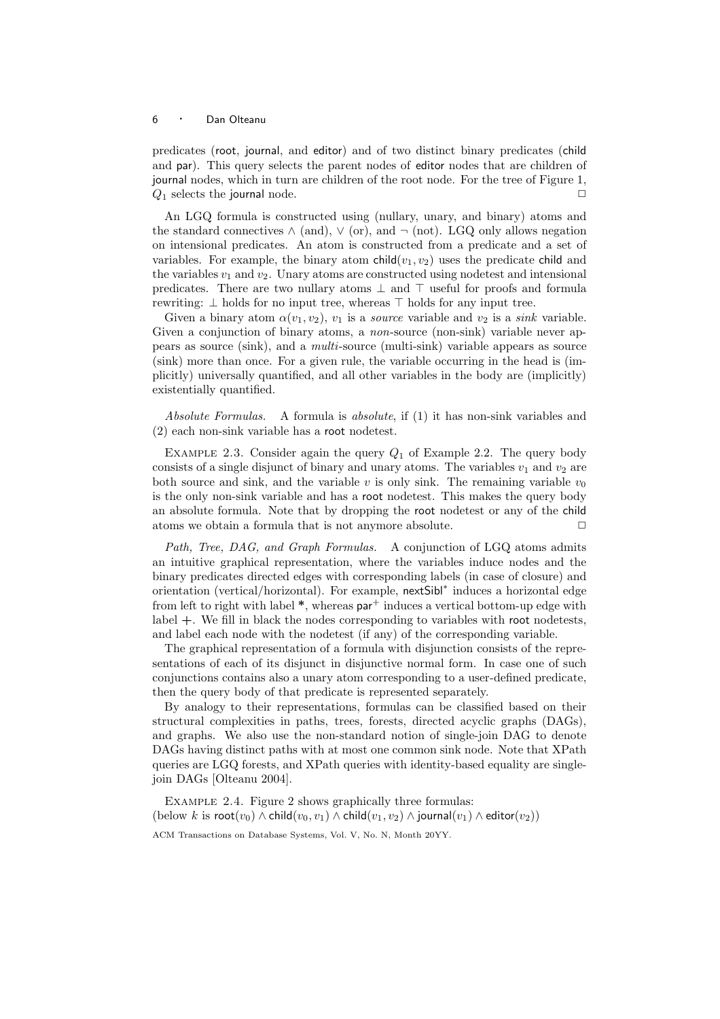predicates (root, journal, and editor) and of two distinct binary predicates (child and par). This query selects the parent nodes of editor nodes that are children of journal nodes, which in turn are children of the root node. For the tree of Figure 1,  $Q_1$  selects the journal node.

An LGQ formula is constructed using (nullary, unary, and binary) atoms and the standard connectives  $\wedge$  (and),  $\vee$  (or), and  $\neg$  (not). LGQ only allows negation on intensional predicates. An atom is constructed from a predicate and a set of variables. For example, the binary atom child $(v_1, v_2)$  uses the predicate child and the variables  $v_1$  and  $v_2$ . Unary atoms are constructed using nodetest and intensional predicates. There are two nullary atoms ⊥ and ⊤ useful for proofs and formula rewriting: ⊥ holds for no input tree, whereas ⊤ holds for any input tree.

Given a binary atom  $\alpha(v_1, v_2)$ ,  $v_1$  is a *source* variable and  $v_2$  is a *sink* variable. Given a conjunction of binary atoms, a *non*-source (non-sink) variable never appears as source (sink), and a multi-source (multi-sink) variable appears as source (sink) more than once. For a given rule, the variable occurring in the head is (implicitly) universally quantified, and all other variables in the body are (implicitly) existentially quantified.

Absolute Formulas. A formula is absolute, if (1) it has non-sink variables and (2) each non-sink variable has a root nodetest.

EXAMPLE 2.3. Consider again the query  $Q_1$  of Example 2.2. The query body consists of a single disjunct of binary and unary atoms. The variables  $v_1$  and  $v_2$  are both source and sink, and the variable v is only sink. The remaining variable  $v_0$ is the only non-sink variable and has a root nodetest. This makes the query body an absolute formula. Note that by dropping the root nodetest or any of the child atoms we obtain a formula that is not anymore absolute.  $\Box$ 

Path, Tree, DAG, and Graph Formulas. A conjunction of LGQ atoms admits an intuitive graphical representation, where the variables induce nodes and the binary predicates directed edges with corresponding labels (in case of closure) and orientation (vertical/horizontal). For example, nextSibl<sup>∗</sup> induces a horizontal edge from left to right with label  $*$ , whereas  $par^+$  induces a vertical bottom-up edge with label +. We fill in black the nodes corresponding to variables with root nodetests, and label each node with the nodetest (if any) of the corresponding variable.

The graphical representation of a formula with disjunction consists of the representations of each of its disjunct in disjunctive normal form. In case one of such conjunctions contains also a unary atom corresponding to a user-defined predicate, then the query body of that predicate is represented separately.

By analogy to their representations, formulas can be classified based on their structural complexities in paths, trees, forests, directed acyclic graphs (DAGs), and graphs. We also use the non-standard notion of single-join DAG to denote DAGs having distinct paths with at most one common sink node. Note that XPath queries are LGQ forests, and XPath queries with identity-based equality are singlejoin DAGs [Olteanu 2004].

EXAMPLE 2.4. Figure 2 shows graphically three formulas: (below k is root $(v_0) \wedge \text{child}(v_0, v_1) \wedge \text{child}(v_1, v_2) \wedge \text{journal}(v_1) \wedge \text{editor}(v_2))$ )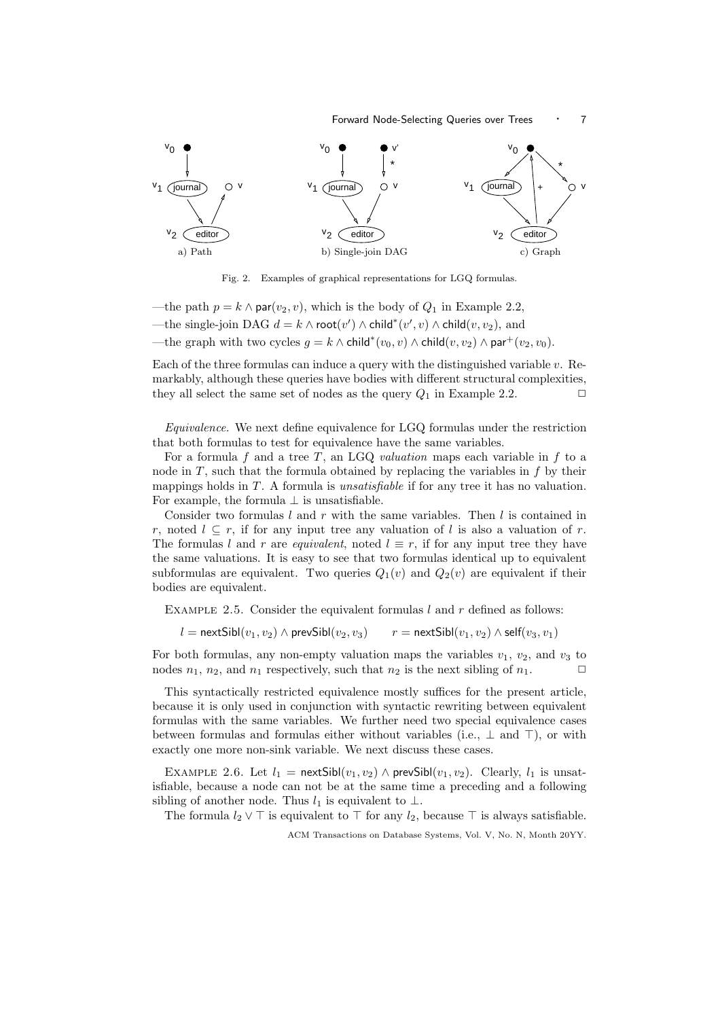

Fig. 2. Examples of graphical representations for LGQ formulas.

—the path  $p = k \wedge \text{par}(v_2, v)$ , which is the body of  $Q_1$  in Example 2.2, —the single-join DAG  $d = k \wedge \mathsf{root}(v') \wedge \mathsf{child}^*(v', v) \wedge \mathsf{child}(v, v_2)$ , and —the graph with two cycles  $g = k \wedge \text{child}^*(v_0, v) \wedge \text{child}(v, v_2) \wedge \text{par}^+(v_2, v_0)$ .

Each of the three formulas can induce a query with the distinguished variable  $v$ . Remarkably, although these queries have bodies with different structural complexities, they all select the same set of nodes as the query  $Q_1$  in Example 2.2.

Equivalence. We next define equivalence for LGQ formulas under the restriction that both formulas to test for equivalence have the same variables.

For a formula f and a tree T, an LGQ valuation maps each variable in f to a node in  $T$ , such that the formula obtained by replacing the variables in  $f$  by their mappings holds in  $T$ . A formula is *unsatisfiable* if for any tree it has no valuation. For example, the formula  $\perp$  is unsatisfiable.

Consider two formulas  $l$  and  $r$  with the same variables. Then  $l$  is contained in r, noted  $l \subseteq r$ , if for any input tree any valuation of l is also a valuation of r. The formulas l and r are equivalent, noted  $l \equiv r$ , if for any input tree they have the same valuations. It is easy to see that two formulas identical up to equivalent subformulas are equivalent. Two queries  $Q_1(v)$  and  $Q_2(v)$  are equivalent if their bodies are equivalent.

EXAMPLE 2.5. Consider the equivalent formulas  $l$  and  $r$  defined as follows:

 $l = \text{nextSibl}(v_1, v_2) \wedge \text{prevSibl}(v_2, v_3)$   $r = \text{nextSibl}(v_1, v_2) \wedge \text{self}(v_3, v_1)$ 

For both formulas, any non-empty valuation maps the variables  $v_1$ ,  $v_2$ , and  $v_3$  to nodes  $n_1$ ,  $n_2$ , and  $n_1$  respectively, such that  $n_2$  is the next sibling of  $n_1$ .

This syntactically restricted equivalence mostly suffices for the present article, because it is only used in conjunction with syntactic rewriting between equivalent formulas with the same variables. We further need two special equivalence cases between formulas and formulas either without variables (i.e.,  $\perp$  and  $\top$ ), or with exactly one more non-sink variable. We next discuss these cases.

EXAMPLE 2.6. Let  $l_1$  = next Sibl $(v_1, v_2) \wedge$  prev Sibl $(v_1, v_2)$ . Clearly,  $l_1$  is unsatisfiable, because a node can not be at the same time a preceding and a following sibling of another node. Thus  $l_1$  is equivalent to  $\perp$ .

The formula  $l_2 \vee \top$  is equivalent to  $\top$  for any  $l_2$ , because  $\top$  is always satisfiable.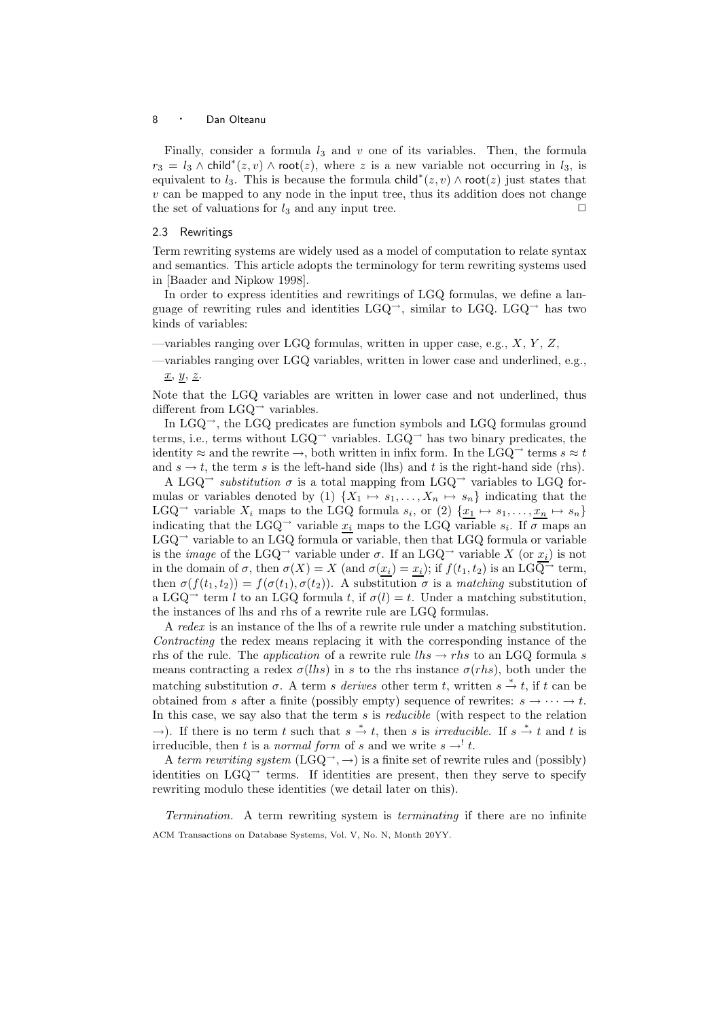Finally, consider a formula  $l_3$  and v one of its variables. Then, the formula  $r_3 = l_3 \wedge \text{child}^*(z, v) \wedge \text{root}(z)$ , where z is a new variable not occurring in  $l_3$ , is equivalent to  $l_3$ . This is because the formula child<sup>\*</sup> $(z, v) \wedge$  root $(z)$  just states that  $v$  can be mapped to any node in the input tree, thus its addition does not change the set of valuations for  $l_3$  and any input tree.

## 2.3 Rewritings

Term rewriting systems are widely used as a model of computation to relate syntax and semantics. This article adopts the terminology for term rewriting systems used in [Baader and Nipkow 1998].

In order to express identities and rewritings of LGQ formulas, we define a language of rewriting rules and identities LGQ<sup>→</sup>, similar to LGQ. LGQ<sup>→</sup> has two kinds of variables:

 $-$ variables ranging over LGQ formulas, written in upper case, e.g.,  $X, Y, Z$ ,

—variables ranging over LGQ variables, written in lower case and underlined, e.g.,  $x, y, z.$ 

Note that the LGQ variables are written in lower case and not underlined, thus different from  $LGQ^{\rightarrow}$  variables.

In  $LGQ^{\rightarrow}$ , the LGQ predicates are function symbols and LGQ formulas ground terms, i.e., terms without LGQ<sup>→</sup> variables. LGQ<sup>→</sup> has two binary predicates, the identity  $\approx$  and the rewrite  $\rightarrow$ , both written in infix form. In the LGQ<sup> $\rightarrow$ </sup> terms  $s \approx t$ and  $s \to t$ , the term s is the left-hand side (lhs) and t is the right-hand side (rhs).

A LGQ<sup>→</sup> substitution  $\sigma$  is a total mapping from LGQ<sup>→</sup> variables to LGQ formulas or variables denoted by (1)  $\{X_1 \mapsto s_1, \ldots, X_n \mapsto s_n\}$  indicating that the LGQ<sup>→</sup> variable  $X_i$  maps to the LGQ formula  $s_i$ , or (2)  $\{x_1 \mapsto s_1, \ldots, x_n \mapsto s_n\}$ indicating that the LGQ<sup>→</sup> variable  $x_i$  maps to the LGQ variable  $s_i$ . If  $\sigma$  maps an  $LGQ$ <sup> $\rightarrow$ </sup> variable to an LGQ formula or variable, then that LGQ formula or variable is the *image* of the LGQ<sup>→</sup> variable under  $\sigma$ . If an LGQ<sup>→</sup> variable X (or  $x_i$ ) is not in the domain of  $\sigma$ , then  $\sigma(X) = X$  (and  $\sigma(x_i) = x_i$ ); if  $f(t_1, t_2)$  is an LGQ<sup>-1</sup> term, then  $\sigma(f(t_1, t_2)) = f(\sigma(t_1), \sigma(t_2))$ . A substitution  $\sigma$  is a matching substitution of a LGQ<sup>→</sup> term l to an LGQ formula t, if  $\sigma(l) = t$ . Under a matching substitution, the instances of lhs and rhs of a rewrite rule are LGQ formulas.

A redex is an instance of the lhs of a rewrite rule under a matching substitution. Contracting the redex means replacing it with the corresponding instance of the rhs of the rule. The *application* of a rewrite rule  $\ln s \to r\ln s$  to an LGQ formula s means contracting a redex  $\sigma(lhs)$  in s to the rhs instance  $\sigma(rhs)$ , both under the matching substitution  $\sigma$ . A term s derives other term t, written  $s \stackrel{*}{\rightarrow} t$ , if t can be obtained from s after a finite (possibly empty) sequence of rewrites:  $s \rightarrow \cdots \rightarrow t$ . In this case, we say also that the term  $s$  is *reducible* (with respect to the relation  $\rightarrow$ ). If there is no term t such that  $s \stackrel{*}{\rightarrow} t$ , then s is *irreducible*. If  $s \stackrel{*}{\rightarrow} t$  and t is irreducible, then t is a *normal form* of s and we write  $s \rightarrow' t$ .

A term rewriting system  $(LGQ \rightarrow \rightarrow)$  is a finite set of rewrite rules and (possibly) identities on  $LGQ^{\rightarrow}$  terms. If identities are present, then they serve to specify rewriting modulo these identities (we detail later on this).

Termination. A term rewriting system is terminating if there are no infinite ACM Transactions on Database Systems, Vol. V, No. N, Month 20YY.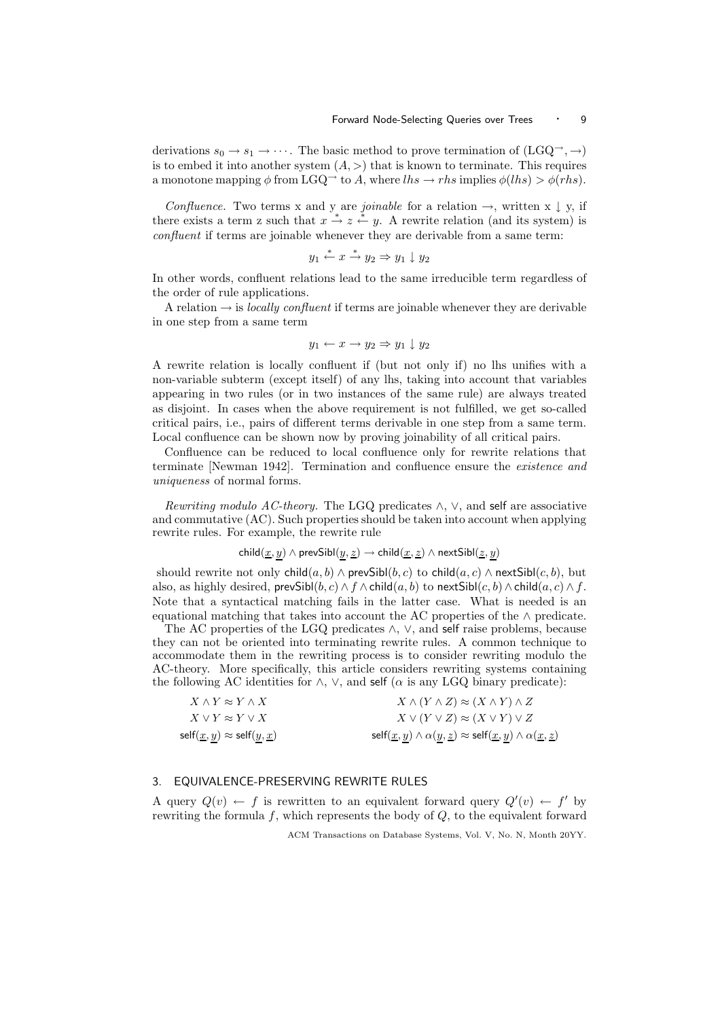derivations  $s_0 \to s_1 \to \cdots$ . The basic method to prove termination of  $(LGQ^{\rightarrow}, \rightarrow)$ is to embed it into another system  $(A, >)$  that is known to terminate. This requires a monotone mapping  $\phi$  from LGQ<sup>→</sup> to A, where lhs  $\rightarrow$  rhs implies  $\phi(lhs) > \phi(rhs)$ .

Confluence. Two terms x and y are *joinable* for a relation  $\rightarrow$ , written x  $\downarrow$  y, if there exists a term z such that  $x \stackrel{*}{\rightharpoonup} z \stackrel{*}{\rightharpoonup} y$ . A rewrite relation (and its system) is confluent if terms are joinable whenever they are derivable from a same term:

$$
y_1 \xrightarrow{*} x \xrightarrow{*} y_2 \Rightarrow y_1 \downarrow y_2
$$

In other words, confluent relations lead to the same irreducible term regardless of the order of rule applications.

A relation  $\rightarrow$  is *locally confluent* if terms are joinable whenever they are derivable in one step from a same term

$$
y_1 \leftarrow x \rightarrow y_2 \Rightarrow y_1 \downarrow y_2
$$

A rewrite relation is locally confluent if (but not only if) no lhs unifies with a non-variable subterm (except itself) of any lhs, taking into account that variables appearing in two rules (or in two instances of the same rule) are always treated as disjoint. In cases when the above requirement is not fulfilled, we get so-called critical pairs, i.e., pairs of different terms derivable in one step from a same term. Local confluence can be shown now by proving joinability of all critical pairs.

Confluence can be reduced to local confluence only for rewrite relations that terminate [Newman 1942]. Termination and confluence ensure the existence and uniqueness of normal forms.

Rewriting modulo AC-theory. The LGQ predicates  $\wedge$ ,  $\vee$ , and self are associative and commutative (AC). Such properties should be taken into account when applying rewrite rules. For example, the rewrite rule

$$
child(\underline{x}, y) \land \mathsf{prevSibl}(y, \underline{z}) \rightarrow child(\underline{x}, \underline{z}) \land \mathsf{nextSibl}(\underline{z}, y)
$$

should rewrite not only  $child(a, b) \wedge prevSibl(b, c)$  to  $child(a, c) \wedge nextSibl(c, b)$ , but also, as highly desired, prevSibl $(b, c) \wedge f \wedge \text{child}(a, b)$  to nextSibl $(c, b) \wedge \text{child}(a, c) \wedge f$ . Note that a syntactical matching fails in the latter case. What is needed is an equational matching that takes into account the AC properties of the ∧ predicate.

The AC properties of the LGQ predicates ∧,  $\vee$ , and self raise problems, because they can not be oriented into terminating rewrite rules. A common technique to accommodate them in the rewriting process is to consider rewriting modulo the AC-theory. More specifically, this article considers rewriting systems containing the following AC identities for  $\land$ ,  $\lor$ , and self ( $\alpha$  is any LGQ binary predicate):

| $X \wedge Y \approx Y \wedge X$                                         | $X \wedge (Y \wedge Z) \approx (X \wedge Y) \wedge Z$                                                                                             |
|-------------------------------------------------------------------------|---------------------------------------------------------------------------------------------------------------------------------------------------|
| $X \vee Y \approx Y \vee X$                                             | $X \vee (Y \vee Z) \approx (X \vee Y) \vee Z$                                                                                                     |
| $\textsf{self}(\underline{x},y) \approx \textsf{self}(y,\underline{x})$ | $\mathsf{self}(\underline{x},y) \wedge \alpha(y,\underline{z}) \approx \mathsf{self}(\underline{x},y) \wedge \alpha(\underline{x},\underline{z})$ |

## 3. EQUIVALENCE-PRESERVING REWRITE RULES

A query  $Q(v) \leftarrow f$  is rewritten to an equivalent forward query  $Q'(v) \leftarrow f'$  by rewriting the formula f, which represents the body of  $Q$ , to the equivalent forward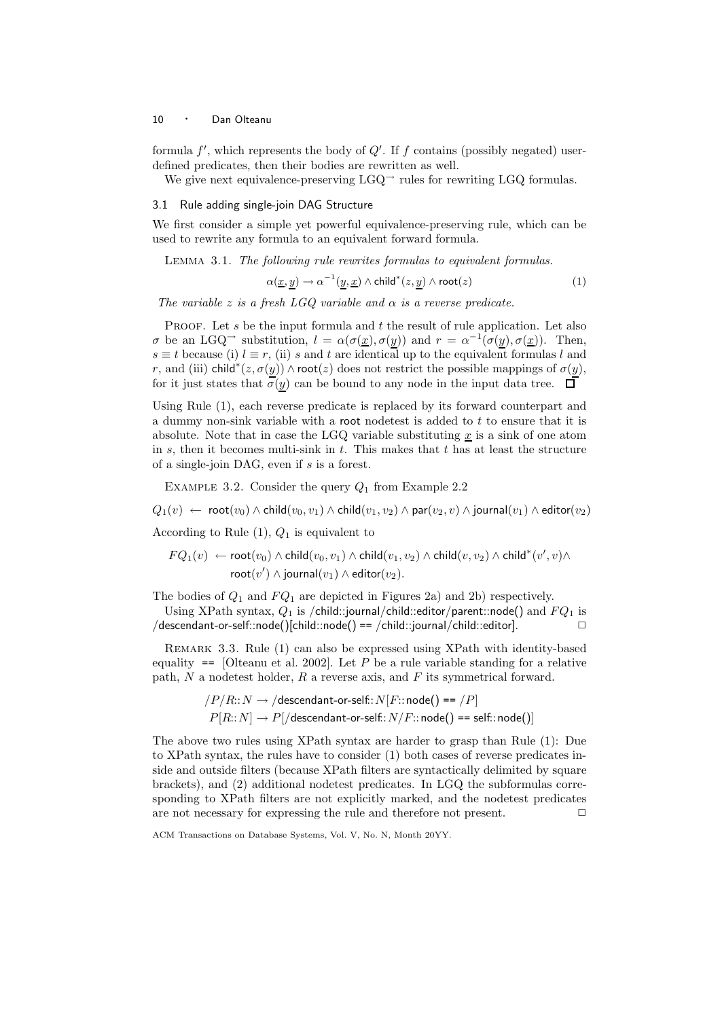formula  $f'$ , which represents the body of  $Q'$ . If f contains (possibly negated) userdefined predicates, then their bodies are rewritten as well.

We give next equivalence-preserving  $LGQ^{\rightarrow}$  rules for rewriting LGQ formulas.

#### 3.1 Rule adding single-join DAG Structure

We first consider a simple yet powerful equivalence-preserving rule, which can be used to rewrite any formula to an equivalent forward formula.

Lemma 3.1. The following rule rewrites formulas to equivalent formulas.

$$
\alpha(\underline{x}, \underline{y}) \to \alpha^{-1}(\underline{y}, \underline{x}) \wedge \text{child}^*(z, \underline{y}) \wedge \text{root}(z) \tag{1}
$$

The variable z is a fresh LGQ variable and  $\alpha$  is a reverse predicate.

PROOF. Let s be the input formula and t the result of rule application. Let also  $\sigma$  be an LGQ<sup>-3</sup> substitution,  $l = \alpha(\sigma(\underline{x}), \sigma(y))$  and  $r = \alpha^{-1}(\sigma(y), \sigma(\underline{x}))$ . Then,  $s \equiv t$  because (i)  $l \equiv r$ , (ii) s and t are identical up to the equivalent formulas l and r, and (iii) child<sup>\*</sup>( $z, \sigma(y)$ )  $\wedge$  root( $z$ ) does not restrict the possible mappings of  $\sigma(y)$ , for it just states that  $\sigma(y)$  can be bound to any node in the input data tree.  $\Box$ 

Using Rule (1), each reverse predicate is replaced by its forward counterpart and a dummy non-sink variable with a root nodetest is added to t to ensure that it is absolute. Note that in case the LGQ variable substituting  $\underline{x}$  is a sink of one atom in  $s$ , then it becomes multi-sink in  $t$ . This makes that  $t$  has at least the structure of a single-join DAG, even if s is a forest.

EXAMPLE 3.2. Consider the query  $Q_1$  from Example 2.2

 $Q_1(v) \leftarrow \text{root}(v_0) \wedge \text{child}(v_0, v_1) \wedge \text{child}(v_1, v_2) \wedge \text{par}(v_2, v) \wedge \text{journal}(v_1) \wedge \text{editor}(v_2)$ 

According to Rule  $(1)$ ,  $Q_1$  is equivalent to

$$
FQ_1(v) \leftarrow \text{root}(v_0) \land \text{child}(v_0, v_1) \land \text{child}(v_1, v_2) \land \text{child}(v, v_2) \land \text{child}^*(v', v) \land \\ \text{root}(v') \land \text{journal}(v_1) \land \text{editor}(v_2).
$$

The bodies of  $Q_1$  and  $FQ_1$  are depicted in Figures 2a) and 2b) respectively.

Using XPath syntax,  $Q_1$  is /child::journal/child::editor/parent::node() and  $FQ_1$  is  $\ket{\text{descendant-or-self::node}}$  [child::node() ==  $\ket{\text{child::journal/cchild::editor}}$  .  $\Box$ 

Remark 3.3. Rule (1) can also be expressed using XPath with identity-based equality  $=$  [Olteanu et al. 2002]. Let P be a rule variable standing for a relative path,  $N$  a nodetest holder,  $R$  a reverse axis, and  $F$  its symmetrical forward.

> $/ P/R::N \rightarrow /$ descendant-or-self:: $N[F::node() == /P]$  $P[R:N] \rightarrow P[\text{/descendant-or-self: } N/F::\text{node}() == \text{self::} \text{node}()]$

The above two rules using XPath syntax are harder to grasp than Rule (1): Due to XPath syntax, the rules have to consider (1) both cases of reverse predicates inside and outside filters (because XPath filters are syntactically delimited by square brackets), and (2) additional nodetest predicates. In LGQ the subformulas corresponding to XPath filters are not explicitly marked, and the nodetest predicates are not necessary for expressing the rule and therefore not present.  $\Box$ 

ACM Transactions on Database Systems, Vol. V, No. N, Month 20YY.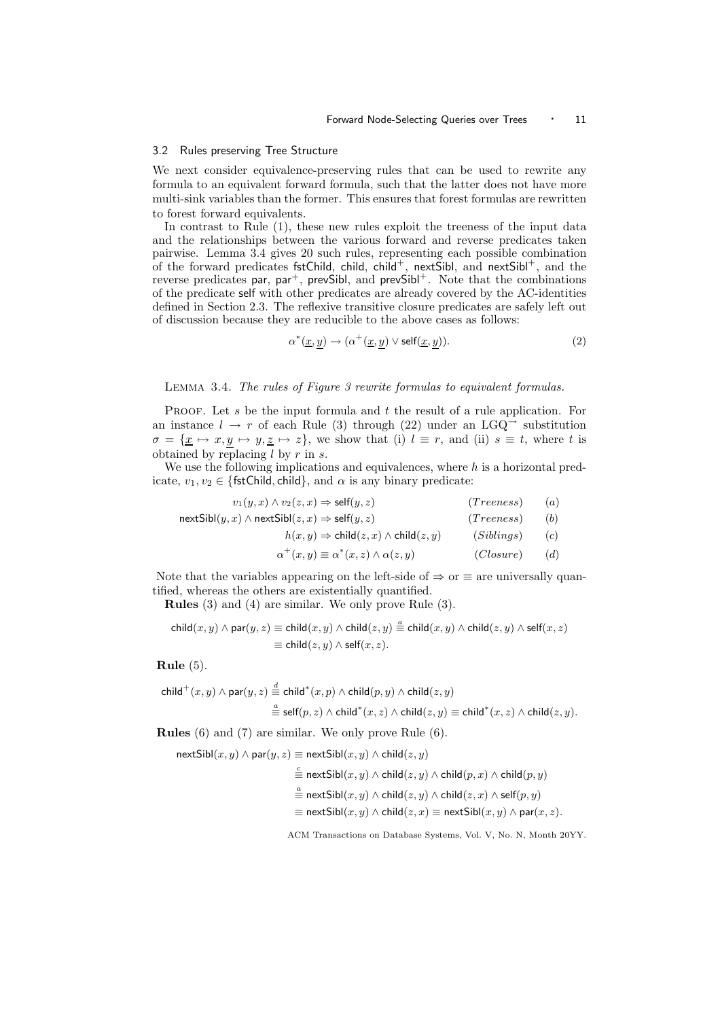#### 3.2 Rules preserving Tree Structure

We next consider equivalence-preserving rules that can be used to rewrite any formula to an equivalent forward formula, such that the latter does not have more multi-sink variables than the former. This ensures that forest formulas are rewritten to forest forward equivalents.

In contrast to Rule (1), these new rules exploit the treeness of the input data and the relationships between the various forward and reverse predicates taken pairwise. Lemma 3.4 gives 20 such rules, representing each possible combination of the forward predicates fstChild, child, child<sup>+</sup>, nextSibl, and nextSibl<sup>+</sup>, and the reverse predicates par,  $par^+$ , prevSibl, and prevSibl<sup>+</sup>. Note that the combinations of the predicate self with other predicates are already covered by the AC-identities defined in Section 2.3. The reflexive transitive closure predicates are safely left out of discussion because they are reducible to the above cases as follows:

$$
\alpha^*(\underline{x}, \underline{y}) \to (\alpha^+(\underline{x}, \underline{y}) \vee \text{self}(\underline{x}, \underline{y})). \tag{2}
$$

#### Lemma 3.4. The rules of Figure 3 rewrite formulas to equivalent formulas.

PROOF. Let s be the input formula and t the result of a rule application. For an instance  $l \to r$  of each Rule (3) through (22) under an LGQ<sup>→</sup> substitution  $\sigma = {\underline{x} \mapsto x, y \mapsto y, \underline{z} \mapsto z}$ , we show that (i)  $l \equiv r$ , and (ii)  $s \equiv t$ , where t is obtained by replacing  $l$  by  $r$  in  $s$ .

We use the following implications and equivalences, where  $h$  is a horizontal predicate,  $v_1, v_2 \in \{\text{fstChild}, \text{child}\}, \text{and } \alpha \text{ is any binary predicate: }$ 

| $v_1(y,x) \wedge v_2(z,x) \Rightarrow \text{self}(y,z)$       | (Treeness) | (a) |
|---------------------------------------------------------------|------------|-----|
| $nextSibl(y, x) \wedge nextSibl(z, x) \Rightarrow self(y, z)$ | (Treeness) | (b) |
| $h(x, y) \Rightarrow$ child $(z, x) \wedge$ child $(z, y)$    | (Sibling)  | (c) |

$$
\alpha^{+}(x, y) \equiv \alpha^{*}(x, z) \wedge \alpha(z, y) \qquad (Closure) \qquad (d)
$$

Note that the variables appearing on the left-side of  $\Rightarrow$  or  $\equiv$  are universally quantified, whereas the others are existentially quantified.

Rules (3) and (4) are similar. We only prove Rule (3).

$$
\operatorname{child}(x,y) \land \operatorname{par}(y,z) \equiv \operatorname{child}(x,y) \land \operatorname{child}(z,y) \stackrel{a}{=} \operatorname{child}(x,y) \land \operatorname{child}(z,y) \land \operatorname{self}(x,z) \\ \equiv \operatorname{child}(z,y) \land \operatorname{self}(x,z).
$$

Rule (5).

$$
\begin{aligned} \mathsf{child}^+(x,y)\wedge \mathsf{par}(y,z) &\stackrel{d}{=} \mathsf{child}^*(x,p)\wedge \mathsf{child}(p,y)\wedge \mathsf{child}(z,y) \\ &\stackrel{a}{=} \mathsf{self}(p,z)\wedge \mathsf{child}^*(x,z)\wedge \mathsf{child}(z,y) \equiv \mathsf{child}^*(x,z)\wedge \mathsf{child}(z,y). \end{aligned}
$$

Rules (6) and (7) are similar. We only prove Rule (6).

 $nextSibl(x, y) \wedge par(y, z) \equiv nextSibl(x, y) \wedge child(z, y)$ 

a

$$
\stackrel{c}{\equiv} \mathsf{nextSibl}(x,y) \land \mathsf{child}(z,y) \land \mathsf{child}(p,x) \land \mathsf{child}(p,y)
$$

$$
\stackrel{a}{\equiv} \mathsf{nextSibl}(x, y) \wedge \mathsf{child}(z, y) \wedge \mathsf{child}(z, x) \wedge \mathsf{self}(p, y)
$$

$$
\equiv \mathsf{nextSibl}(x, y) \land \mathsf{child}(z, x) \equiv \mathsf{nextSibl}(x, y) \land \mathsf{par}(x, z).
$$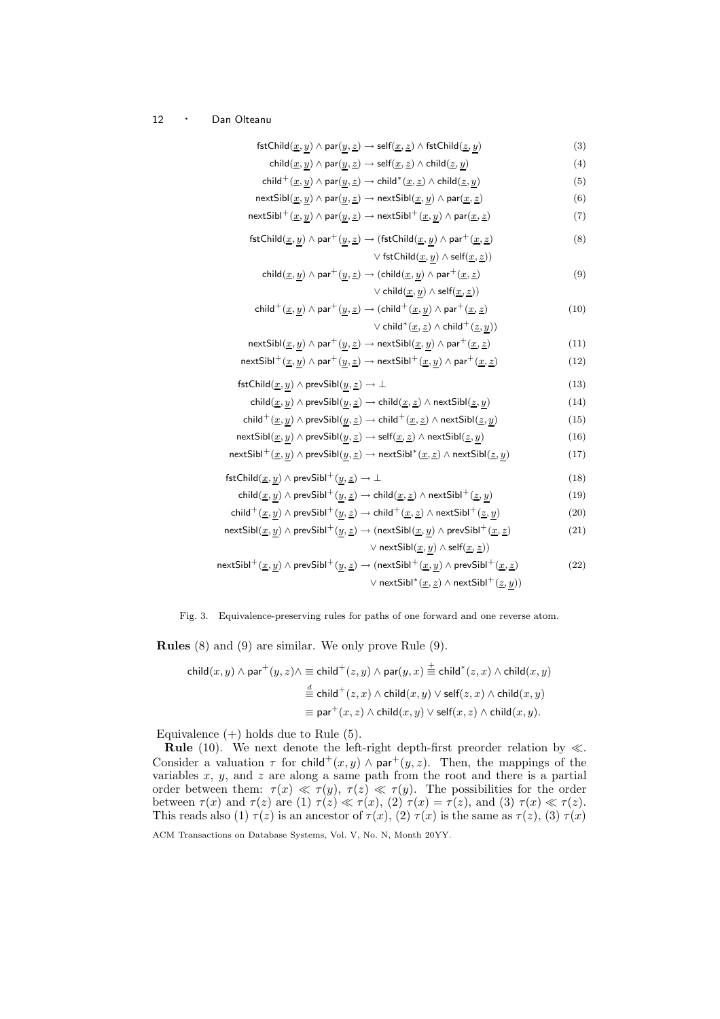| $\mathsf{fstChild}(\underline{x},\underline{y}) \wedge \mathsf{par}(\underline{y},\underline{z}) \rightarrow \mathsf{self}(\underline{x},\underline{z}) \wedge \mathsf{fstChild}(\underline{z},\underline{y})$            | (3)  |
|---------------------------------------------------------------------------------------------------------------------------------------------------------------------------------------------------------------------------|------|
| $\mathsf{child}(\underline{x},\underline{y})\wedge \mathsf{par}(\underline{y},\underline{z})\to \mathsf{self}(\underline{x},\underline{z})\wedge \mathsf{child}(\underline{z},\underline{y})$                             | (4)  |
| $\mathsf{child}^+(\underline{x},\underline{y})\wedge \mathsf{par}(\underline{y},\underline{z})\to \mathsf{child}^*(\underline{x},\underline{z})\wedge \mathsf{child}(\underline{z},\underline{y})$                        | (5)  |
| $\mathsf{nextSibl}(\underline{x},\underline{y})\land\mathsf{par}(\underline{y},\underline{z})\to\mathsf{nextSibl}(\underline{x},\underline{y})\land\mathsf{par}(\underline{x},\underline{z})$                             | (6)  |
| $\mathsf{nextSibl}^+(\underline{x},\underline{y})\wedge \mathsf{par}(\underline{y},\underline{z})\to \mathsf{nextSibl}^+(\underline{x},\underline{y})\wedge \mathsf{par}(\underline{x},\underline{z})$                    | (7)  |
| $\mathsf{fstChild}(\underline{x},\underline{y})\wedge\mathsf{par}^+(\underline{y},\underline{z})\rightarrow (\mathsf{fstChild}(\underline{x},\underline{y})\wedge\mathsf{par}^+(\underline{x},\underline{z})$             | (8)  |
| $\vee$ fstChild $(\underline{x},\underline{y})\wedge \text{self}(\underline{x},\underline{z}))$                                                                                                                           |      |
| $\mathsf{child}(\underline{x},\underline{y})\wedge \mathsf{par}^+(\underline{y},\underline{z})\to (\mathsf{child}(\underline{x},\underline{y})\wedge \mathsf{par}^+(\underline{x},\underline{z})$                         | (9)  |
| $\vee$ $\mathsf{child}(\underline{x},\underline{y}) \wedge \mathsf{self}(\underline{x},\underline{z}))$                                                                                                                   |      |
| $\mathsf{child}^+(\underline{x},\underline{y}) \wedge \mathsf{par}^+(\underline{y},\underline{z}) \rightarrow (\mathsf{child}^+(\underline{x},\underline{y}) \wedge \mathsf{par}^+(\underline{x},\underline{z})$          | (10) |
| $\vee$ child <sup>*</sup> ( <u>x</u> , <u>z</u> ) $\wedge$ child <sup>+</sup> ( <u>z</u> , y))                                                                                                                            |      |
| $\mathsf{nextSibl}(\underline{x},\underline{y}) \land \mathsf{par}^+(\underline{y},\underline{z}) \to \mathsf{nextSibl}(\underline{x},\underline{y}) \land \mathsf{par}^+(\underline{x},\underline{z})$                   | (11) |
| $\mathsf{nextSibl}^+(\underline{x},\underline{y})\wedge \mathsf{par}^+(\underline{y},\underline{z})\to \mathsf{nextSibl}^+(\underline{x},\underline{y})\wedge \mathsf{par}^+(\underline{x},\underline{z})$                | (12) |
| $\mathsf{fstChild}(\underline{x},\underline{y}) \wedge \mathsf{prevSibl}(\underline{y},\underline{z}) \rightarrow \bot$                                                                                                   | (13) |
| $\mathsf{child}(\underline{x},\underline{y}) \wedge \mathsf{prevSibl}(\underline{y},\underline{z}) \rightarrow \mathsf{child}(\underline{x},\underline{z}) \wedge \mathsf{nextSibl}(\underline{z},\underline{y})$         | (14) |
| $\mathsf{child}^+(\underline{x},\underline{y}) \wedge \mathsf{prevSibl}(\underline{y},\underline{z}) \rightarrow \mathsf{child}^+(\underline{x},\underline{z}) \wedge \mathsf{nextSibl}(\underline{z},\underline{y})$     | (15) |
| $\mathsf{nextSibl}(\underline{x},\underline{y}) \wedge \mathsf{prevSibl}(\underline{y},\underline{z}) \rightarrow \mathsf{self}(\underline{x},\underline{z}) \wedge \mathsf{nextSibl}(\underline{z},\underline{y})$       | (16) |
| $\mathsf{nextSibl}^+(\underline{x},\underline{y})\wedge\mathsf{prevSibl}(\underline{y},\underline{z})\to \mathsf{nextSibl}^*(\underline{x},\underline{z})\wedge\mathsf{nextSibl}(\underline{z},\underline{y})$            | (17) |
| ${\sf fstChild}(\underline{x},\underline{y})\wedge {\sf prevSibl}^+(\underline{y},\underline{z})\to \bot$                                                                                                                 | (18) |
| child $(\underline{x}, \underline{y}) \wedge$ prevSibl <sup>+</sup> $(\underline{y}, \underline{z}) \rightarrow$ child $(\underline{x}, \underline{z}) \wedge$ nextSibl <sup>+</sup> $(\underline{z}, \underline{y})$     | (19) |
| $\mathsf{child}^+(\underline{x},\underline{y}) \wedge \mathsf{prevSibl}^+(\underline{y},\underline{z}) \rightarrow \mathsf{child}^+(\underline{x},\underline{z}) \wedge \mathsf{nextSibl}^+(\underline{z},\underline{y})$ | (20) |
| $\mathsf{nextSibl}(\underline{x},\underline{y})\wedge\mathsf{prevSibl}^+(\underline{y},\underline{z})\to(\mathsf{nextSibl}(\underline{x},\underline{y})\wedge\mathsf{prevSibl}^+(\underline{x},\underline{z})$            | (21) |
| $\vee$ nextSibl $(\underline{x},\underline{y})\wedge \mathsf{self}(\underline{x},\underline{z}))$                                                                                                                         |      |
| ${\sf nextSibl}^+(\underline{x},\underline{y})\wedge {\sf prevSibl}^+(\underline{y},\underline{z})\to ({\sf nextSibl}^+(\underline{x},\underline{y})\wedge {\sf prevSibl}^+(\underline{x},\underline{z})$                 | (22) |
| ∨ nextSibl <sup>*</sup> ( $\underline{x}, \underline{z}$ ) ∧ nextSibl <sup>+</sup> ( $\underline{z}, y$ ))                                                                                                                |      |

Fig. 3. Equivalence-preserving rules for paths of one forward and one reverse atom.

Rules (8) and (9) are similar. We only prove Rule (9).

$$
\begin{aligned} \mathsf{child}(x,y)\wedge \mathsf{par}^+(y,z)\wedge \equiv \mathsf{child}^+(z,y)\wedge \mathsf{par}(y,x) \stackrel{+}{=} \mathsf{child}^*(z,x)\wedge \mathsf{child}(x,y) \\ &\stackrel{d}{=} \mathsf{child}^+(z,x)\wedge \mathsf{child}(x,y)\vee \mathsf{self}(z,x)\wedge \mathsf{child}(x,y) \\ &\equiv \mathsf{par}^+(x,z)\wedge \mathsf{child}(x,y)\vee \mathsf{self}(x,z)\wedge \mathsf{child}(x,y). \end{aligned}
$$

Equivalence  $(+)$  holds due to Rule  $(5)$ .

**Rule** (10). We next denote the left-right depth-first preorder relation by  $\ll$ . Consider a valuation  $\tau$  for child<sup>+</sup>(x, y)  $\land$  par<sup>+</sup>(y, z). Then, the mappings of the variables  $x, y$ , and  $z$  are along a same path from the root and there is a partial order between them:  $\tau(x) \ll \tau(y)$ ,  $\tau(z) \ll \tau(y)$ . The possibilities for the order between  $\tau(x)$  and  $\tau(z)$  are (1)  $\tau(z) \ll \tau(x)$ , (2)  $\tau(x) = \tau(z)$ , and (3)  $\tau(x) \ll \tau(z)$ . This reads also (1)  $\tau(z)$  is an ancestor of  $\tau(x)$ , (2)  $\tau(x)$  is the same as  $\tau(z)$ , (3)  $\tau(x)$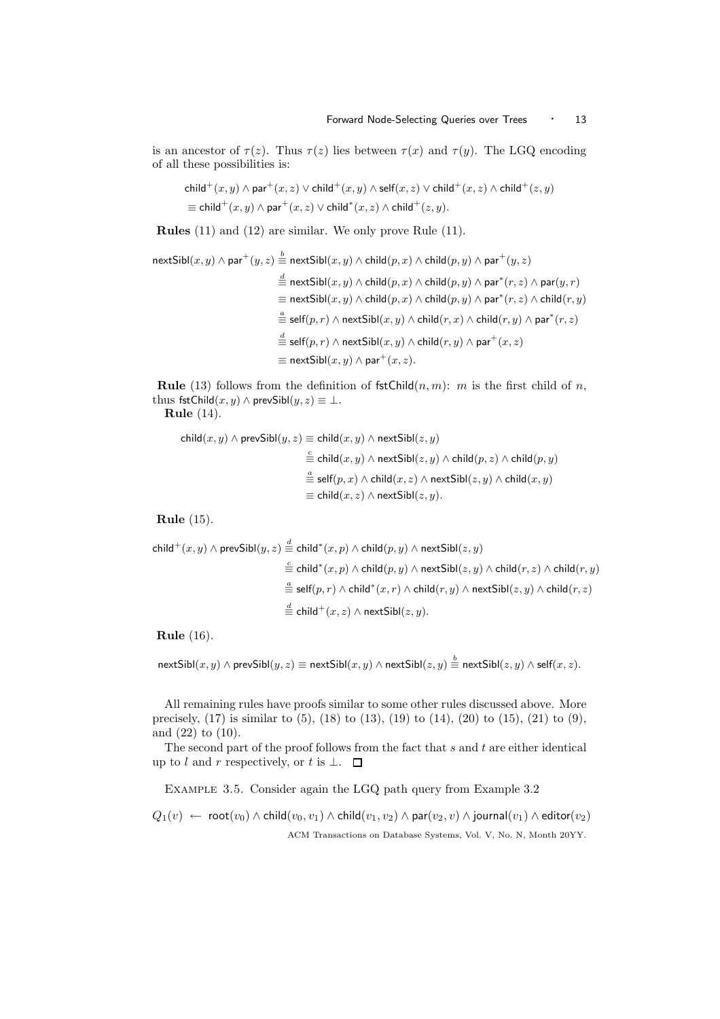is an ancestor of  $\tau(z)$ . Thus  $\tau(z)$  lies between  $\tau(x)$  and  $\tau(y)$ . The LGQ encoding of all these possibilities is:

$$
\text{child}^+(x,y) \land \text{par}^+(x,z) \lor \text{child}^+(x,y) \land \text{self}(x,z) \lor \text{child}^+(x,z) \land \text{child}^+(z,y) \\ \equiv \text{child}^+(x,y) \land \text{par}^+(x,z) \lor \text{child}^+(x,z) \land \text{child}^+(z,y).
$$

Rules (11) and (12) are similar. We only prove Rule (11).

$$
\begin{aligned} \text{nextSibl}(x,y)\wedge\text{par}^+(y,z) &\stackrel{\mathbf{b}}{=} \text{nextSibl}(x,y)\wedge\text{child}(p,x)\wedge\text{child}(p,y)\wedge\text{par}^+(y,z) \\ &\stackrel{\text{d}}{=} \text{nextSibl}(x,y)\wedge\text{child}(p,x)\wedge\text{child}(p,y)\wedge\text{par}^*(r,z)\wedge\text{par}(y,r) \\ &\stackrel{\text{d}}{=} \text{nextSibl}(x,y)\wedge\text{child}(p,x)\wedge\text{child}(p,y)\wedge\text{par}^*(r,z)\wedge\text{child}(r,y) \\ &\stackrel{\text{d}}{=} \text{self}(p,r)\wedge\text{nextSibl}(x,y)\wedge\text{child}(r,x)\wedge\text{child}(r,y)\wedge\text{par}^+(x,z) \\ &\stackrel{\text{d}}{=} \text{self}(p,r)\wedge\text{nextSibl}(x,y)\wedge\text{child}(r,y)\wedge\text{par}^+(x,z) \\ &\stackrel{\text{d}}{=} \text{nextSibl}(x,y)\wedge\text{par}^+(x,z). \end{aligned}
$$

**Rule** (13) follows from the definition of  $fstChild(n, m)$ : m is the first child of n, thus fstChild $(x, y) \wedge$  prevSibl $(y, z) \equiv \perp$ .

Rule (14).

child $(x, y) \wedge$  prevSibl $(y, z) \equiv$ child $(x, y) \wedge$  nextSibl $(z, y)$  $\stackrel{c}{\equiv}$  child $(x,y)\wedge$  next $\mathsf{Sibl}(z,y)\wedge \mathsf{child}(p,z)\wedge \mathsf{child}(p,y)$  $\stackrel{a}{\equiv}$  self $(p,x)\wedge$  child $(x,z)\wedge$  next ${\sf Sibl}(z,y)\wedge$  child $(x,y)$  $\equiv$  child $(x, z) \wedge$  nextSibl $(z, y)$ .

Rule (15).

$$
\begin{aligned} \mathsf{child}^+(x,y)\wedge\mathsf{prevSibl}(y,z)\overset{d}{=}\mathsf{child}^*(x,p)\wedge\mathsf{child}(p,y)\wedge\mathsf{nextSibl}(z,y)\\ \overset{c}{=}\mathsf{child}^*(x,p)\wedge\mathsf{child}(p,y)\wedge\mathsf{nextSibl}(z,y)\wedge\mathsf{child}(r,z)\wedge\mathsf{child}(r,y)\\ \overset{d}{=}\mathsf{self}(p,r)\wedge\mathsf{child}^*(x,r)\wedge\mathsf{child}(r,y)\wedge\mathsf{nextSibl}(z,y)\wedge\mathsf{child}(r,z)\\ \overset{d}{=}\mathsf{child}^+(x,z)\wedge\mathsf{nextSibl}(z,y).\end{aligned}
$$

Rule (16).

 ${\sf nextSibl}(x,y)\wedge {\sf prevSibl}(y,z) \equiv {\sf nextSibl}(x,y) \wedge {\sf nextSibl}(z,y) \stackrel{b}{\equiv} {\sf nextSibl}(z,y) \wedge {\sf self}(x,z).$ 

All remaining rules have proofs similar to some other rules discussed above. More precisely,  $(17)$  is similar to  $(5)$ ,  $(18)$  to  $(13)$ ,  $(19)$  to  $(14)$ ,  $(20)$  to  $(15)$ ,  $(21)$  to  $(9)$ , and (22) to (10).

The second part of the proof follows from the fact that  $s$  and  $t$  are either identical up to l and r respectively, or t is  $\bot$ .  $\Box$ 

Example 3.5. Consider again the LGQ path query from Example 3.2

 $Q_1(v) \leftarrow \text{root}(v_0) \wedge \text{child}(v_0, v_1) \wedge \text{child}(v_1, v_2) \wedge \text{par}(v_2, v) \wedge \text{journal}(v_1) \wedge \text{editor}(v_2)$ ACM Transactions on Database Systems, Vol. V, No. N, Month 20YY.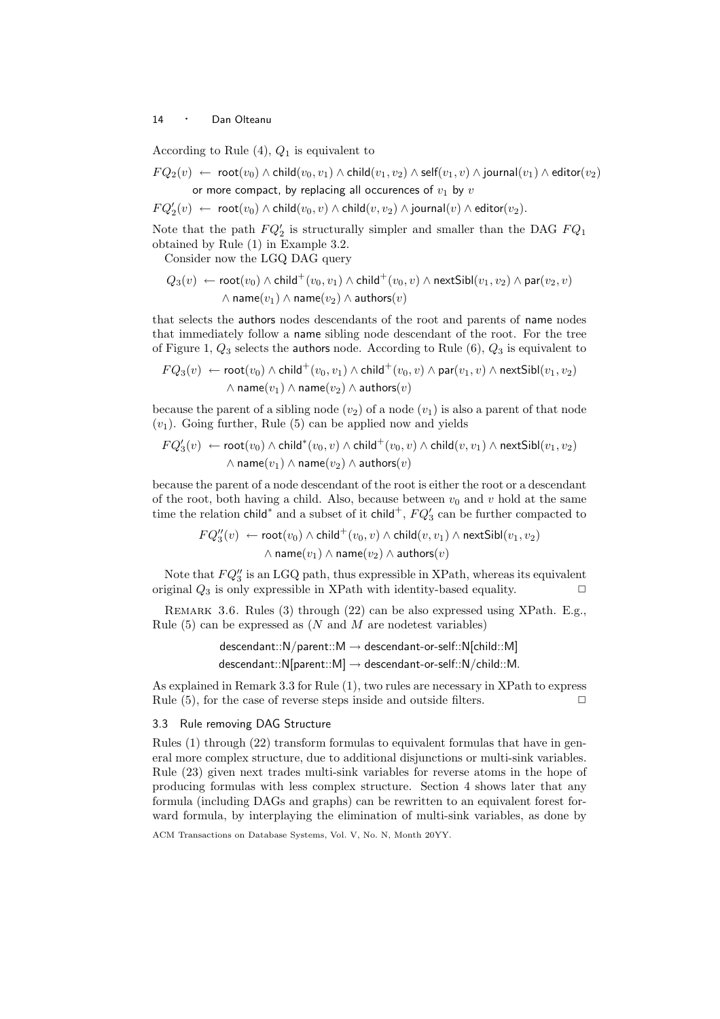According to Rule  $(4)$ ,  $Q_1$  is equivalent to

$$
FQ_2(v) \leftarrow \text{root}(v_0) \land \text{child}(v_0, v_1) \land \text{child}(v_1, v_2) \land \text{self}(v_1, v) \land \text{journal}(v_1) \land \text{editor}(v_2)
$$
  
or more compact, by replacing all occurrences of  $v_1$  by  $v$ 

 $FQ_2'(v) \leftarrow \ \ \textsf{root}(v_0) \land \textsf{child}(v_0,v) \land \textsf{child}(v,v_2) \land \textsf{journal}(v) \land \textsf{editor}(v_2).$ 

Note that the path  $FQ'_{2}$  is structurally simpler and smaller than the DAG  $FQ_{1}$ obtained by Rule (1) in Example 3.2.

Consider now the LGQ DAG query

$$
Q_3(v) \leftarrow \text{root}(v_0) \land \text{child}^+(v_0, v_1) \land \text{child}^+(v_0, v) \land \text{nextSibl}(v_1, v_2) \land \text{par}(v_2, v)
$$

$$
\land \text{name}(v_1) \land \text{name}(v_2) \land \text{authors}(v)
$$

that selects the authors nodes descendants of the root and parents of name nodes that immediately follow a name sibling node descendant of the root. For the tree of Figure 1,  $Q_3$  selects the authors node. According to Rule  $(6)$ ,  $Q_3$  is equivalent to

$$
FQ_3(v) \leftarrow \text{root}(v_0) \land \text{child}^+(v_0, v_1) \land \text{child}^+(v_0, v) \land \text{par}(v_1, v) \land \text{nextSibl}(v_1, v_2)
$$

$$
\land \text{name}(v_1) \land \text{name}(v_2) \land \text{author}(v)
$$

because the parent of a sibling node  $(v_2)$  of a node  $(v_1)$  is also a parent of that node  $(v_1)$ . Going further, Rule (5) can be applied now and yields

$$
FQ_3'(v) \leftarrow \text{root}(v_0) \land \text{child}^*(v_0, v) \land \text{child}^+(v_0, v) \land \text{child}(v, v_1) \land \text{nextSibl}(v_1, v_2) \\ \land \text{name}(v_1) \land \text{name}(v_2) \land \text{author}(v)
$$

because the parent of a node descendant of the root is either the root or a descendant of the root, both having a child. Also, because between  $v_0$  and v hold at the same time the relation child<sup>∗</sup> and a subset of it child<sup>+</sup>,  $FQ'_{3}$  can be further compacted to

$$
FQ_3''(v) \leftarrow \text{root}(v_0) \land \text{child}^+(v_0, v) \land \text{child}(v, v_1) \land \text{nextSibl}(v_1, v_2) \\ \land \text{name}(v_1) \land \text{name}(v_2) \land \text{authors}(v)
$$

Note that  $FQ''_3$  is an LGQ path, thus expressible in XPath, whereas its equivalent original  $Q_3$  is only expressible in XPath with identity-based equality.  $\Box$ 

Remark 3.6. Rules (3) through (22) can be also expressed using XPath. E.g., Rule  $(5)$  can be expressed as  $(N \text{ and } M \text{ are no detects variables})$ 

$$
\mathsf{descendant::N/parent::M} \rightarrow \mathsf{descendant-or-self::N[child::M]}
$$
\n
$$
\mathsf{descendant::N[parent::M]} \rightarrow \mathsf{descendant-or-self::N/child::M}.
$$

As explained in Remark 3.3 for Rule (1), two rules are necessary in XPath to express Rule  $(5)$ , for the case of reverse steps inside and outside filters.  $\Box$ 

## 3.3 Rule removing DAG Structure

Rules (1) through (22) transform formulas to equivalent formulas that have in general more complex structure, due to additional disjunctions or multi-sink variables. Rule (23) given next trades multi-sink variables for reverse atoms in the hope of producing formulas with less complex structure. Section 4 shows later that any formula (including DAGs and graphs) can be rewritten to an equivalent forest forward formula, by interplaying the elimination of multi-sink variables, as done by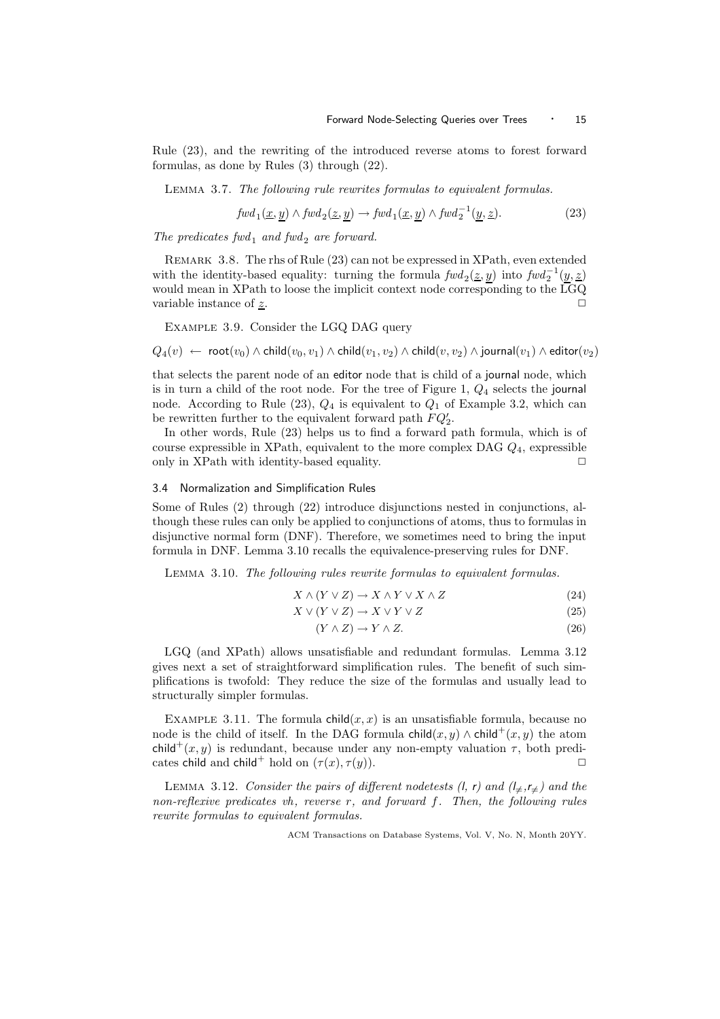Rule (23), and the rewriting of the introduced reverse atoms to forest forward formulas, as done by Rules (3) through (22).

Lemma 3.7. The following rule rewrites formulas to equivalent formulas.

$$
fwd_1(\underline{x}, \underline{y}) \wedge fwd_2(\underline{z}, \underline{y}) \rightarrow fwd_1(\underline{x}, \underline{y}) \wedge fwd_2^{-1}(\underline{y}, \underline{z}).
$$
\n(23)

The predicates  $fwd_1$  and  $fwd_2$  are forward.

Remark 3.8. The rhs of Rule (23) can not be expressed in XPath, even extended with the identity-based equality: turning the formula  $fwd_2(\underline{z}, \underline{y})$  into  $fwd_2^{-1}(\underline{y}, \underline{z})$ would mean in XPath to loose the implicit context node corresponding to the LGQ variable instance of  $\underline{z}$ .

Example 3.9. Consider the LGQ DAG query

$$
Q_4(v) \;\gets\; \mathsf{root}(v_0) \land \mathsf{child}(v_0, v_1) \land \mathsf{child}(v_1, v_2) \land \mathsf{child}(v, v_2) \land \mathsf{journal}(v_1) \land \mathsf{editor}(v_2)
$$

that selects the parent node of an editor node that is child of a journal node, which is in turn a child of the root node. For the tree of Figure 1,  $Q_4$  selects the journal node. According to Rule  $(23)$ ,  $Q_4$  is equivalent to  $Q_1$  of Example 3.2, which can be rewritten further to the equivalent forward path  $FQ'_2$ .

In other words, Rule (23) helps us to find a forward path formula, which is of course expressible in XPath, equivalent to the more complex DAG  $Q_4$ , expressible only in XPath with identity-based equality.  $\Box$ 

#### 3.4 Normalization and Simplification Rules

Some of Rules (2) through (22) introduce disjunctions nested in conjunctions, although these rules can only be applied to conjunctions of atoms, thus to formulas in disjunctive normal form (DNF). Therefore, we sometimes need to bring the input formula in DNF. Lemma 3.10 recalls the equivalence-preserving rules for DNF.

Lemma 3.10. The following rules rewrite formulas to equivalent formulas.

$$
X \wedge (Y \vee Z) \to X \wedge Y \vee X \wedge Z \tag{24}
$$

$$
X \lor (Y \lor Z) \to X \lor Y \lor Z \tag{25}
$$

$$
(Y \wedge Z) \to Y \wedge Z. \tag{26}
$$

LGQ (and XPath) allows unsatisfiable and redundant formulas. Lemma 3.12 gives next a set of straightforward simplification rules. The benefit of such simplifications is twofold: They reduce the size of the formulas and usually lead to structurally simpler formulas.

EXAMPLE 3.11. The formula child $(x, x)$  is an unsatisfiable formula, because no node is the child of itself. In the DAG formula child $(x, y) \wedge$ child<sup>+</sup> $(x, y)$  the atom child<sup>+</sup> $(x, y)$  is redundant, because under any non-empty valuation  $\tau$ , both predicates child and child<sup>+</sup> hold on  $(\tau(x), \tau(y))$ .

LEMMA 3.12. Consider the pairs of different nodetests (l, r) and  $(l_{\neq},r_{\neq})$  and the non-reflexive predicates vh, reverse r, and forward  $f$ . Then, the following rules rewrite formulas to equivalent formulas.

ACM Transactions on Database Systems, Vol. V, No. N, Month 20YY.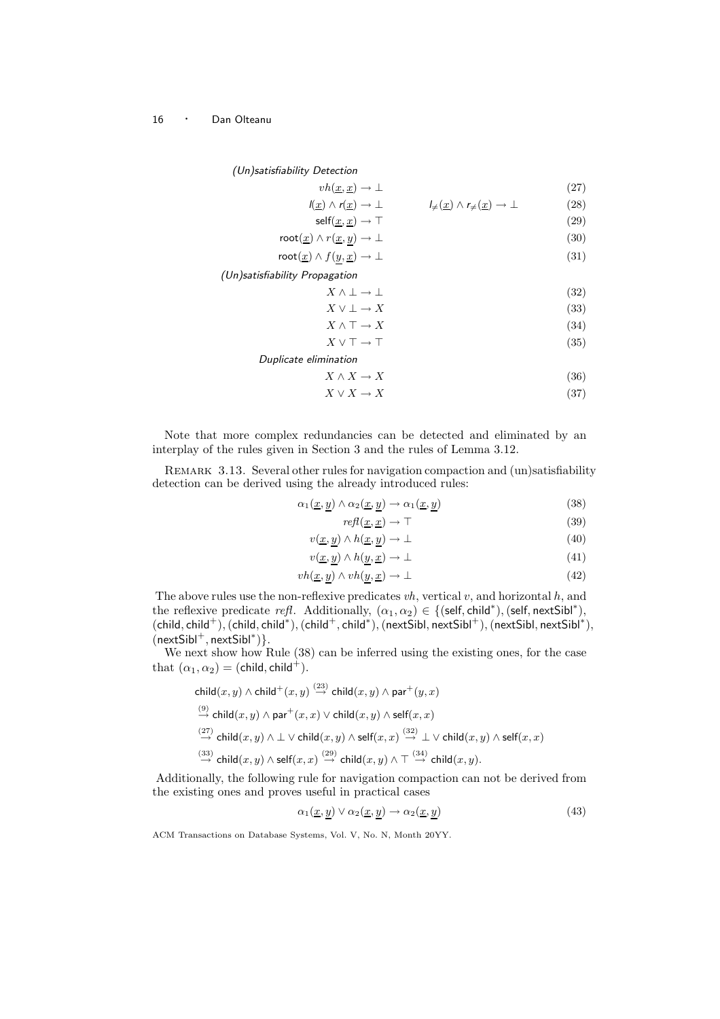(Un)satisfiability Detection

$$
vh(\underline{x}, \underline{x}) \to \bot
$$
\n
$$
(\underline{x}) \land r(\underline{x}) \to \bot
$$
\n
$$
(\underline{x}) \land r(\underline{x}) \to \bot
$$
\n
$$
\bot
$$
\n
$$
(27)
$$
\n
$$
\bot
$$
\n
$$
(28)
$$

$$
self(\underline{x}, \underline{x}) \to \top
$$
 (29)

$$
\text{root}(\underline{x}) \land r(\underline{x}, \underline{y}) \to \bot \tag{30}
$$

$$
\text{root}(\underline{x}) \land f(\underline{y}, \underline{x}) \to \bot \tag{31}
$$

(Un)satisfiability Propagation

$$
X \wedge \bot \to \bot \tag{32}
$$

$$
X \lor \bot \to X \tag{33}
$$

$$
X \wedge \top \to X \tag{34}
$$

$$
X \lor \top \to \top
$$
\nDoubleate elimination

\n(35)

$$
X \wedge X \to X \tag{36}
$$

$$
X \vee X \to X \tag{37}
$$

Note that more complex redundancies can be detected and eliminated by an interplay of the rules given in Section 3 and the rules of Lemma 3.12.

REMARK 3.13. Several other rules for navigation compaction and (un)satisfiability detection can be derived using the already introduced rules:

$$
\alpha_1(\underline{x}, \underline{y}) \wedge \alpha_2(\underline{x}, \underline{y}) \rightarrow \alpha_1(\underline{x}, \underline{y}) \tag{38}
$$

$$
refl(\underline{x}, \underline{x}) \to \top \tag{39}
$$

$$
v(\underline{x}, \underline{y}) \wedge h(\underline{x}, \underline{y}) \to \bot \tag{40}
$$

$$
v(\underline{x}, \underline{y}) \wedge h(\underline{y}, \underline{x}) \to \bot \tag{41}
$$

$$
vh(\underline{x}, \underline{y}) \wedge vh(\underline{y}, \underline{x}) \to \bot
$$
\n<sup>(42)</sup>

The above rules use the non-reflexive predicates  $vh$ , vertical  $v$ , and horizontal  $h$ , and the reflexive predicate refl. Additionally,  $(\alpha_1, \alpha_2) \in \{(\text{self}, \text{child}^*), (\text{self}, \text{nextSibl}^*),$  $(\mathsf{child}, \mathsf{child}^+),(\mathsf{child}, \mathsf{child}^*),(\mathsf{child}^+,\mathsf{child}^*),(\mathsf{nextSibl}, \mathsf{nextSibl}^+),(\mathsf{nextSibl}, \mathsf{nextSibl}^*),$  $(nextSibl<sup>+</sup>, nextSibl<sup>*</sup>)\}.$ 

We next show how Rule (38) can be inferred using the existing ones, for the case that  $(\alpha_1, \alpha_2) = (child, child^+).$ 

$$
\begin{aligned}\n\text{child}(x,y) &\wedge \text{child}^+(x,y) \stackrel{(23)}{\rightarrow} \text{child}(x,y) \wedge \text{par}^+(y,x) \\
&\stackrel{(9)}{\rightarrow} \text{child}(x,y) \wedge \text{par}^+(x,x) \vee \text{child}(x,y) \wedge \text{self}(x,x) \\
&\stackrel{(27)}{\rightarrow} \text{child}(x,y) \wedge \bot \vee \text{child}(x,y) \wedge \text{self}(x,x) \stackrel{(32)}{\rightarrow} \bot \vee \text{child}(x,y) \wedge \text{self}(x,x) \\
&\stackrel{(33)}{\rightarrow} \text{child}(x,y) \wedge \text{self}(x,x) \stackrel{(29)}{\rightarrow} \text{child}(x,y) \wedge \top \stackrel{(34)}{\rightarrow} \text{child}(x,y).\n\end{aligned}
$$

Additionally, the following rule for navigation compaction can not be derived from the existing ones and proves useful in practical cases

$$
\alpha_1(\underline{x}, y) \lor \alpha_2(\underline{x}, y) \to \alpha_2(\underline{x}, y) \tag{43}
$$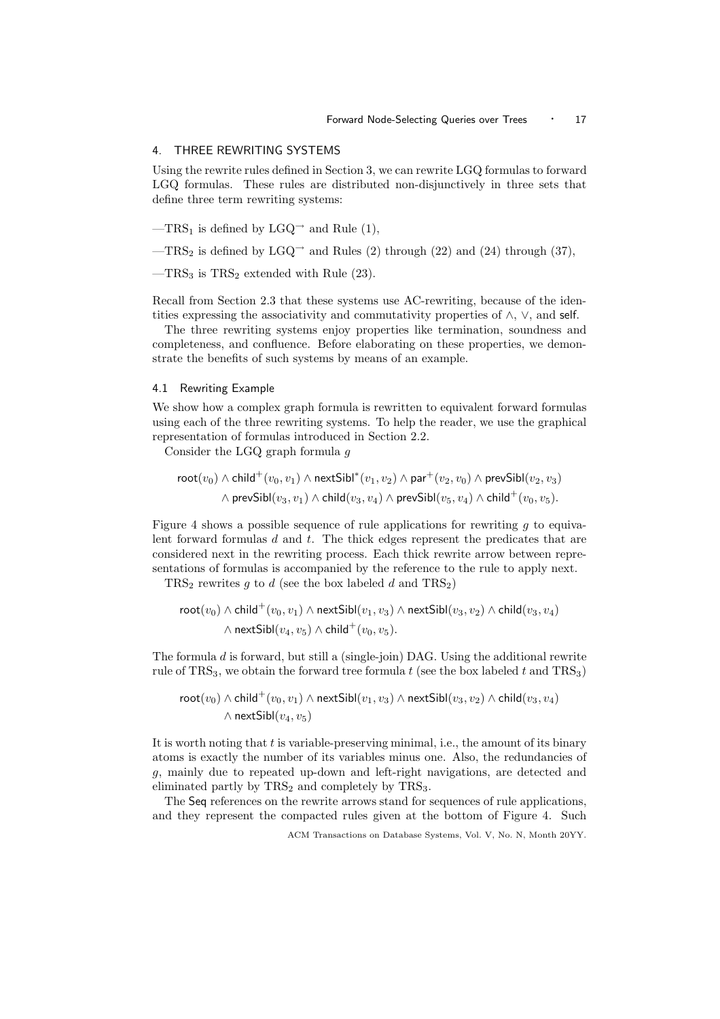#### 4. THREE REWRITING SYSTEMS

Using the rewrite rules defined in Section 3, we can rewrite LGQ formulas to forward LGQ formulas. These rules are distributed non-disjunctively in three sets that define three term rewriting systems:

- —TRS<sub>1</sub> is defined by LGQ<sup>→</sup> and Rule (1),
- —TRS<sub>2</sub> is defined by LGQ<sup>→</sup> and Rules (2) through (22) and (24) through (37),
- $-TRS_3$  is  $TRS_2$  extended with Rule (23).

Recall from Section 2.3 that these systems use AC-rewriting, because of the identities expressing the associativity and commutativity properties of  $\wedge$ ,  $\vee$ , and self.

The three rewriting systems enjoy properties like termination, soundness and completeness, and confluence. Before elaborating on these properties, we demonstrate the benefits of such systems by means of an example.

#### 4.1 Rewriting Example

We show how a complex graph formula is rewritten to equivalent forward formulas using each of the three rewriting systems. To help the reader, we use the graphical representation of formulas introduced in Section 2.2.

Consider the LGQ graph formula g

$$
\mathsf{root}(v_0) \land \mathsf{child}^+(v_0, v_1) \land \mathsf{nextSibl}^*(v_1, v_2) \land \mathsf{par}^+(v_2, v_0) \land \mathsf{prevSibl}(v_2, v_3) \\ \land \mathsf{prevSibl}(v_3, v_1) \land \mathsf{child}(v_3, v_4) \land \mathsf{prevSibl}(v_5, v_4) \land \mathsf{child}^+(v_0, v_5).
$$

Figure 4 shows a possible sequence of rule applications for rewriting  $q$  to equivalent forward formulas d and t. The thick edges represent the predicates that are considered next in the rewriting process. Each thick rewrite arrow between representations of formulas is accompanied by the reference to the rule to apply next.

 $TRS<sub>2</sub>$  rewrites g to d (see the box labeled d and  $TRS<sub>2</sub>$ )

$$
\text{root}(v_0) \land \text{child}^+(v_0, v_1) \land \text{nextSibl}(v_1, v_3) \land \text{nextSibl}(v_3, v_2) \land \text{child}(v_3, v_4)
$$

$$
\land \text{nextSibl}(v_4, v_5) \land \text{child}^+(v_0, v_5).
$$

The formula  $d$  is forward, but still a (single-join) DAG. Using the additional rewrite rule of  $TRS<sub>3</sub>$ , we obtain the forward tree formula t (see the box labeled t and  $TRS<sub>3</sub>$ )

$$
\mathsf{root}(v_0) \land \mathsf{child}^+(v_0, v_1) \land \mathsf{nextSibl}(v_1, v_3) \land \mathsf{nextSibl}(v_3, v_2) \land \mathsf{child}(v_3, v_4) \land \mathsf{nextSibl}(v_4, v_5)
$$

It is worth noting that t is variable-preserving minimal, i.e., the amount of its binary atoms is exactly the number of its variables minus one. Also, the redundancies of g, mainly due to repeated up-down and left-right navigations, are detected and eliminated partly by  $TRS<sub>2</sub>$  and completely by  $TRS<sub>3</sub>$ .

The Seq references on the rewrite arrows stand for sequences of rule applications, and they represent the compacted rules given at the bottom of Figure 4. Such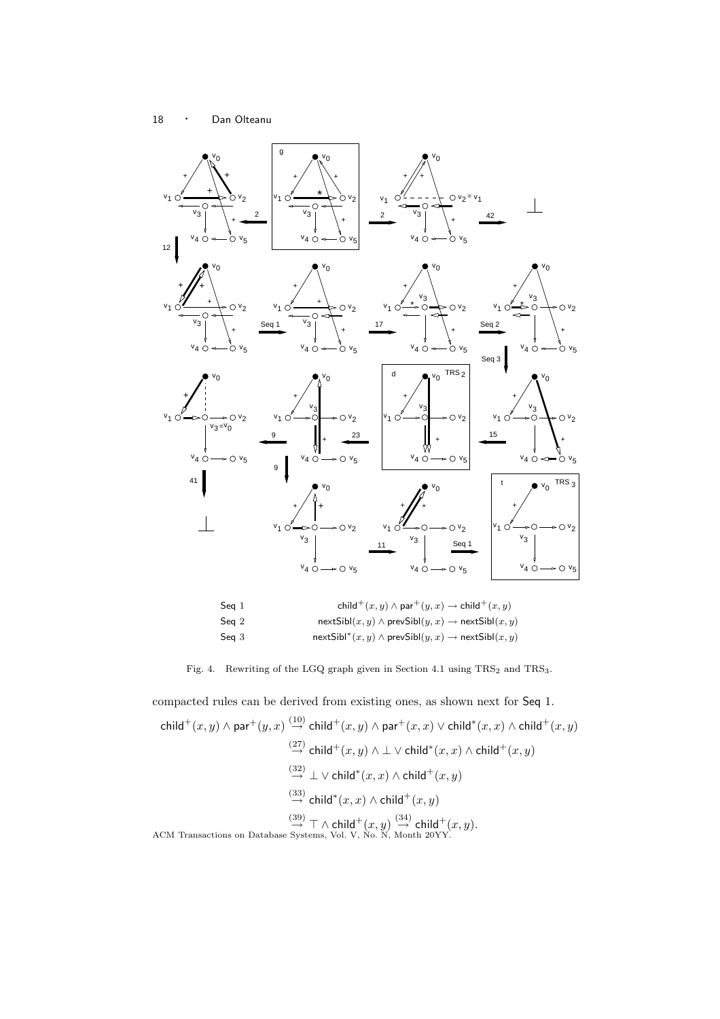

$$
\mathsf{Seq}\ 3 \qquad \qquad \mathsf{nextSibl}^*(x,y) \wedge \mathsf{prevSibl}(y,x) \rightarrow \mathsf{nextSibl}(x,y)
$$

Fig. 4. Rewriting of the LGQ graph given in Section 4.1 using  $TRS_2$  and  $TRS_3$ .

compacted rules can be derived from existing ones, as shown next for Seq 1.  $\mathsf{child}^+(x,y) \wedge \mathsf{par}^+(y,x) \stackrel{(10)}{\to} \mathsf{child}^+(x,y) \wedge \mathsf{par}^+(x,x) \vee \mathsf{child}^*(x,x) \wedge \mathsf{child}^+(x,y)$  $\stackrel{(27)}{\rightarrow}$  child $^+(x,y) \wedge \bot \vee$  child $^*(x,x) \wedge$  child $^+(x,y)$  $\stackrel{(32)}{\rightarrow} \bot \vee$  child<sup>\*</sup> $(x, x) \wedge$  child<sup>+</sup> $(x, y)$  $\stackrel{(33)}{\rightarrow}$  child<sup>\*</sup> $(x, x)$  ∧ child<sup>+</sup> $(x, y)$ ACM Transactions on Database  $\stackrel{(39)}{\rightarrow} \top \wedge$  child<sup>+</sup> $(x, y)$   $\stackrel{(34)}{\rightarrow}$  child<sup>+</sup> $(x, y)$ .<br>ACM Transactions on Database Systems, Vol. V, No. N, Month 20YY.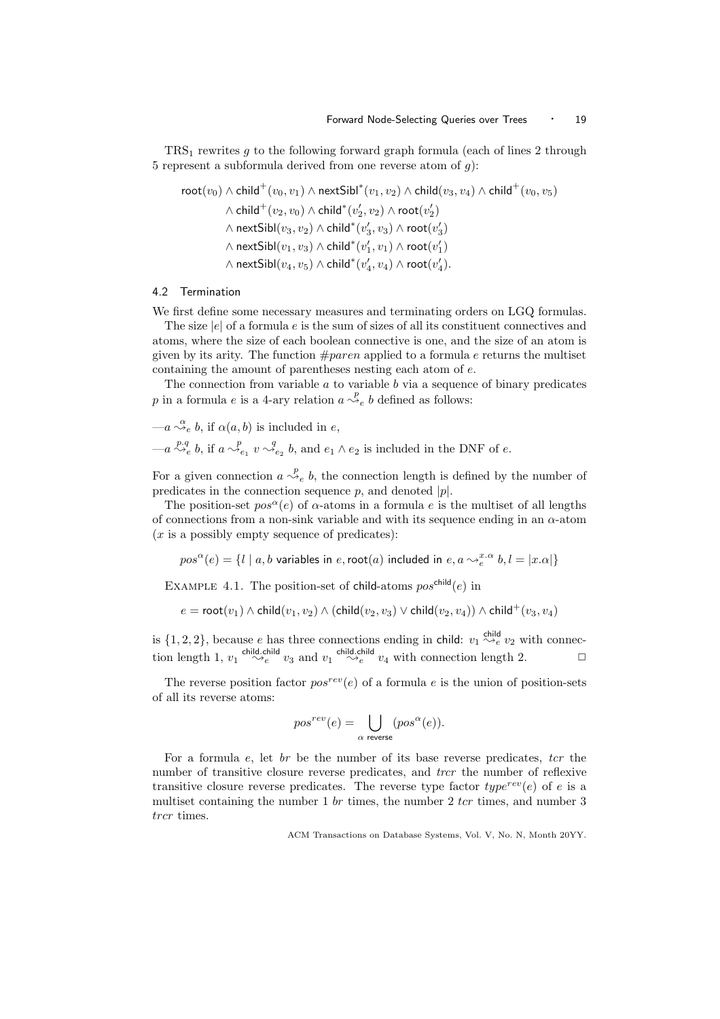$TRS<sub>1</sub>$  rewrites g to the following forward graph formula (each of lines 2 through 5 represent a subformula derived from one reverse atom of  $q$ ):

$$
\begin{aligned} \text{root}(v_0)\wedge \text{child}^+(v_0,v_1)\wedge \text{nextSibl}^*(v_1,v_2)\wedge \text{child}(v_3,v_4)\wedge \text{child}^+(v_0,v_5)\\ \wedge \text{child}^+(v_2,v_0)\wedge \text{child}^*(v_2',v_2)\wedge \text{root}(v_2')\\ \wedge \text{nextSibl}(v_3,v_2)\wedge \text{child}^*(v_3',v_3)\wedge \text{root}(v_3')\\ \wedge \text{nextSibl}(v_1,v_3)\wedge \text{child}^*(v_1',v_1)\wedge \text{root}(v_1')\\ \wedge \text{nextSibl}(v_4,v_5)\wedge \text{child}^*(v_4',v_4)\wedge \text{root}(v_4'). \end{aligned}
$$

#### 4.2 Termination

We first define some necessary measures and terminating orders on LGQ formulas.

The size  $|e|$  of a formula e is the sum of sizes of all its constituent connectives and atoms, where the size of each boolean connective is one, and the size of an atom is given by its arity. The function  $\#parent$  applied to a formula e returns the multiset containing the amount of parentheses nesting each atom of e.

The connection from variable  $a$  to variable  $b$  via a sequence of binary predicates p in a formula e is a 4-ary relation  $a \stackrel{p}{\leadsto}_e b$  defined as follows:

$$
-a \stackrel{\alpha}{\leadsto}_e b, \text{ if } \alpha(a, b) \text{ is included in } e,
$$

 $-a \stackrel{p,q}{\leadsto_e} b$ , if  $a \stackrel{p}{\leadsto_{e_1}} v \stackrel{q}{\leadsto_{e_2}} b$ , and  $e_1 \wedge e_2$  is included in the DNF of e.

For a given connection  $a \stackrel{p}{\leadsto}_e b$ , the connection length is defined by the number of predicates in the connection sequence  $p$ , and denoted  $|p|$ .

The position-set  $pos^{\alpha}(e)$  of  $\alpha$ -atoms in a formula e is the multiset of all lengths of connections from a non-sink variable and with its sequence ending in an  $\alpha$ -atom  $(x \text{ is a possibly empty sequence of predicates})$ :

 $pos^{\alpha}(e) = \{l \mid a,b \text{ variables in } e, \mathsf{root}(a) \text{ included in } e, a \leadsto_e^{x.\alpha} b, l = |x.\alpha|\}$ 

EXAMPLE 4.1. The position-set of child-atoms  $pos^{\text{child}}(e)$  in

$$
e = \mathsf{root}(v_1) \wedge \mathsf{child}(v_1,v_2) \wedge (\mathsf{child}(v_2,v_3) \vee \mathsf{child}(v_2,v_4)) \wedge \mathsf{child}^+(v_3,v_4)
$$

is  $\{1, 2, 2\}$ , because e has three connections ending in child:  $v_1 \stackrel{\text{child}}{\leadsto_e} v_2$  with connection length 1,  $v_1 \stackrel{\text{child.child}}{\leadsto_e} v_3$  and  $v_1 \stackrel{\text{child.child}}{\leadsto_e} v_4$  with connection length 2.

The reverse position factor  $pos^{rev}(e)$  of a formula e is the union of position-sets of all its reverse atoms:

$$
pos^{rev}(e) = \bigcup_{\alpha \text{ reverse}} (pos^{\alpha}(e)).
$$

For a formula e, let  $br$  be the number of its base reverse predicates, tcr the number of transitive closure reverse predicates, and *trcr* the number of reflexive transitive closure reverse predicates. The reverse type factor  $type^{rev}(e)$  of e is a multiset containing the number  $1 \text{ br }$  times, the number  $2 \text{ tr }$  times, and number  $3$ trcr times.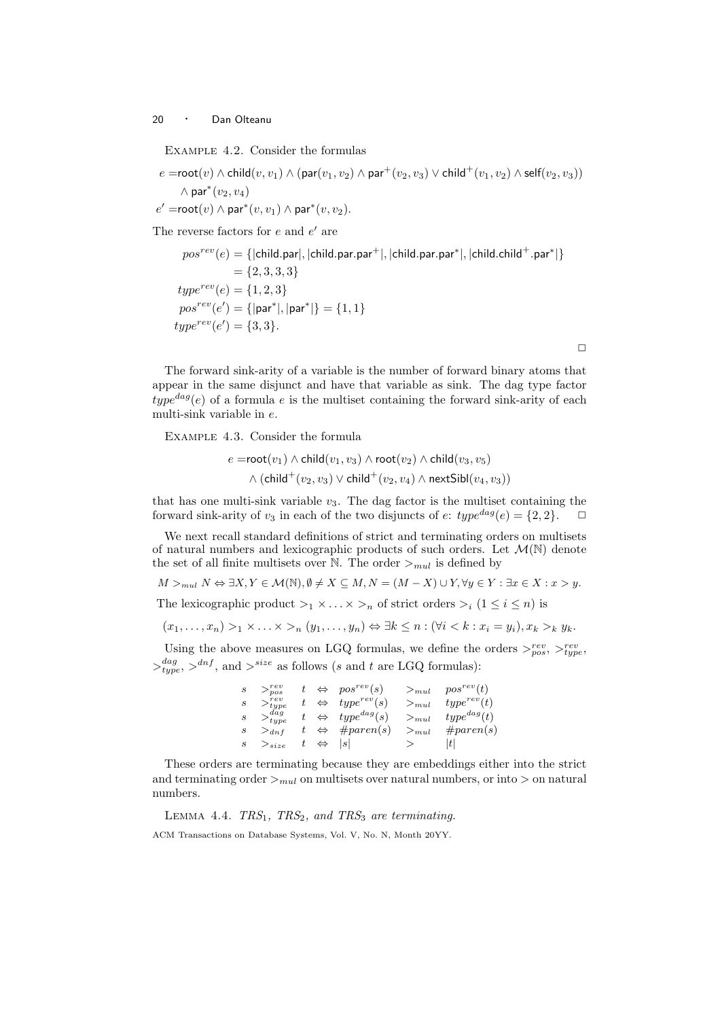Example 4.2. Consider the formulas

$$
e = \text{root}(v) \land \text{child}(v, v_1) \land (\text{par}(v_1, v_2) \land \text{par}^+(v_2, v_3) \lor \text{child}^+(v_1, v_2) \land \text{self}(v_2, v_3))
$$

$$
\land \text{par}^*(v_2, v_4)
$$

$$
e' = \text{root}(v) \land \text{par}^*(v, v_1) \land \text{par}^*(v, v_2).
$$

The reverse factors for  $e$  and  $e'$  are

$$
pos^{rev}(e) = \{ |child, par|, |child, par, par^+|, |child, par, par^*|, |child, child^+.par^*| \}
$$
  
= {2, 3, 3, 3}  

$$
type^{rev}(e) = \{1, 2, 3\}
$$
  

$$
pos^{rev}(e') = \{ |par^*|, |par^*| \} = \{1, 1\}
$$
  

$$
type^{rev}(e') = \{3, 3\}.
$$

The forward sink-arity of a variable is the number of forward binary atoms that appear in the same disjunct and have that variable as sink. The dag type factor  $type^{dag}(e)$  of a formula e is the multiset containing the forward sink-arity of each multi-sink variable in e.

 $\Box$ 

Example 4.3. Consider the formula

$$
e = \mathsf{root}(v_1) \land \mathsf{child}(v_1, v_3) \land \mathsf{root}(v_2) \land \mathsf{child}(v_3, v_5)
$$

$$
\land (\mathsf{child}^+(v_2, v_3) \lor \mathsf{child}^+(v_2, v_4) \land \mathsf{nextSibl}(v_4, v_3))
$$

that has one multi-sink variable  $v_3$ . The dag factor is the multiset containing the forward sink-arity of  $v_3$  in each of the two disjuncts of  $e$ :  $type^{dag}(e) = \{2, 2\}$ .  $\Box$ 

We next recall standard definitions of strict and terminating orders on multisets of natural numbers and lexicographic products of such orders. Let  $\mathcal{M}(\mathbb{N})$  denote the set of all finite multisets over N. The order  $>_{mul}$  is defined by

 $M >_{mul} N \Leftrightarrow \exists X, Y \in \mathcal{M}(\mathbb{N}), \emptyset \neq X \subseteq M, N = (M - X) \cup Y, \forall y \in Y : \exists x \in X : x > y.$ 

The lexicographic product  $>_1 \times ... \times >_n$  of strict orders  $>_i (1 \leq i \leq n)$  is

$$
(x_1,\ldots,x_n) >_1 \times \ldots \times >_n (y_1,\ldots,y_n) \Leftrightarrow \exists k \leq n : (\forall i < k : x_i = y_i), x_k >_k y_k.
$$

Using the above measures on LGQ formulas, we define the orders  $>_{pos}^{rev}, >_{type}^{rev}$ ,  $>_{type}^{dag}$ ,  $>^{dnf}$ , and  $>^{size}$  as follows (s and t are LGQ formulas):

> $s > p_{pos}^{rev}$  t  $\Leftrightarrow$   $pos^{rev}(s) >_{mul} pos^{rev}(t)$  $s \t>_{type}^{rev} t \Leftrightarrow type^{rev}(s) \t>_{mul} type^{rev}(t)$  $s >_{type}^{dag}$  t  $\Leftrightarrow$  type<sup>dag</sup>(s)  $>_{mul}$  type<sup>dag</sup>(t)  $s \geq_{dnf} t \Leftrightarrow \#parent(s) \geq_{mul} \#parent(s)$  $s \t >_{size} t \Leftrightarrow |s| \t > |t|$

These orders are terminating because they are embeddings either into the strict and terminating order  $>_{mul}$  on multisets over natural numbers, or into  $>$  on natural numbers.

LEMMA 4.4.  $TRS_1$ ,  $TRS_2$ , and  $TRS_3$  are terminating. ACM Transactions on Database Systems, Vol. V, No. N, Month 20YY.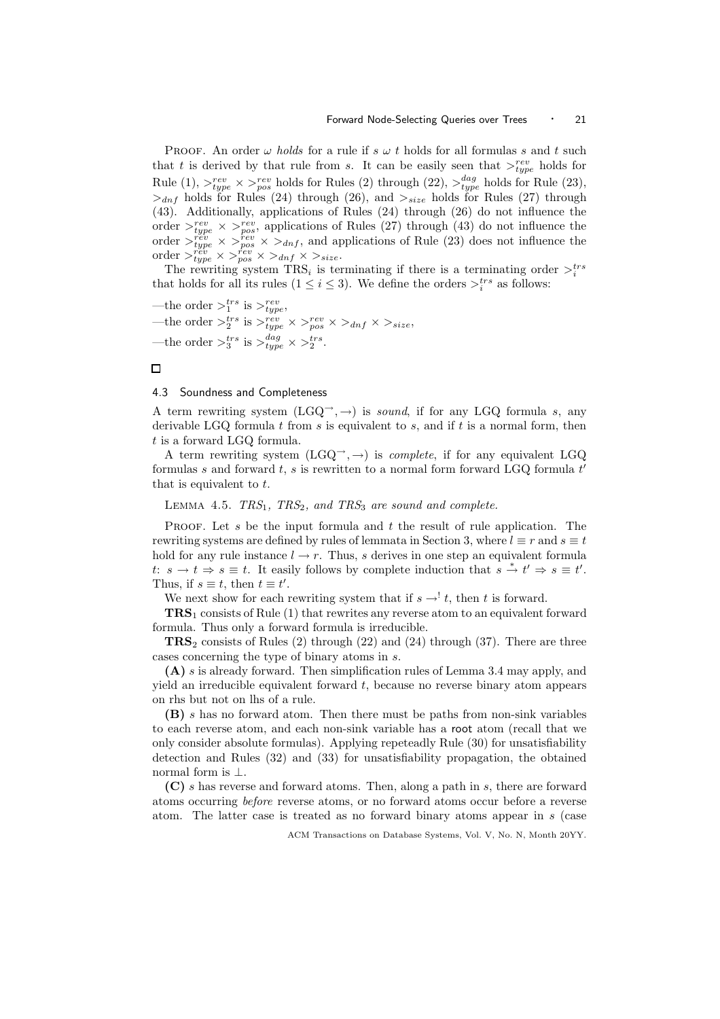PROOF. An order  $\omega$  holds for a rule if  $s \omega t$  holds for all formulas s and t such that t is derived by that rule from s. It can be easily seen that  $>_{type}^{rev}$  holds for Rule (1),  $>_{type}^{rev} \times >_{pos}^{rev}$  holds for Rules (2) through (22),  $>_{type}^{dag}$  holds for Rule (23),  $>_{dnf}$  holds for Rules (24) through (26), and  $>_{size}$  holds for Rules (27) through (43). Additionally, applications of Rules (24) through (26) do not influence the order  $>_{type}^{rev} \times >_{pos}^{rev}$ , applications of Rules (27) through (43) do not influence the order  $\geq_{type}^{rev} \times \geq_{top}^{rev} \times \geq_{dnf}$ , and applications of Rule (23) does not influence the order  $>_{type}^{rev} \times >_{pos}^{rev} \times >_{dnf} \times >_{size}$ .

The rewriting system  $TRS_i$  is terminating if there is a terminating order  $\gt_i^{trs}$ that holds for all its rules  $(1 \leq i \leq 3)$ . We define the orders  $\gt_i^{trs}$  as follows:

—the order  $>^{trs}_{1}$  is  $>^{rev}_{type}$ , —the order  $>^{trs}_2$  is  $>^{rev}_{type} \times >^{rev}_{pos} \times >_{dnf} \times >_{size}$ , —the order  $>^{trs}_3$  is  $>^{dag}_{type} \times >^{trs}_2$ .

## $\Box$

#### 4.3 Soundness and Completeness

A term rewriting system  $(LGQ \rightarrow A)$  is sound, if for any LGQ formula s, any derivable LGQ formula t from s is equivalent to s, and if t is a normal form, then t is a forward LGQ formula.

A term rewriting system  $(LGQ \rightarrow A)$  is *complete*, if for any equivalent LGQ formulas s and forward  $t$ , s is rewritten to a normal form forward LGQ formula  $t'$ that is equivalent to t.

LEMMA 4.5.  $TRS_1$ ,  $TRS_2$ , and  $TRS_3$  are sound and complete.

PROOF. Let s be the input formula and t the result of rule application. The rewriting systems are defined by rules of lemmata in Section 3, where  $l \equiv r$  and  $s \equiv t$ hold for any rule instance  $l \rightarrow r$ . Thus, s derives in one step an equivalent formula t:  $s \to t \Rightarrow s \equiv t$ . It easily follows by complete induction that  $s \stackrel{*}{\to} t' \Rightarrow s \equiv t'$ . Thus, if  $s \equiv t$ , then  $t \equiv t'$ .

We next show for each rewriting system that if  $s \rightarrow' t$ , then t is forward.

TRS<sup>1</sup> consists of Rule (1) that rewrites any reverse atom to an equivalent forward formula. Thus only a forward formula is irreducible.

 $TRS<sub>2</sub>$  consists of Rules (2) through (22) and (24) through (37). There are three cases concerning the type of binary atoms in s.

(A) s is already forward. Then simplification rules of Lemma 3.4 may apply, and yield an irreducible equivalent forward  $t$ , because no reverse binary atom appears on rhs but not on lhs of a rule.

(B) s has no forward atom. Then there must be paths from non-sink variables to each reverse atom, and each non-sink variable has a root atom (recall that we only consider absolute formulas). Applying repeteadly Rule (30) for unsatisfiability detection and Rules (32) and (33) for unsatisfiability propagation, the obtained normal form is ⊥.

(C) s has reverse and forward atoms. Then, along a path in s, there are forward atoms occurring before reverse atoms, or no forward atoms occur before a reverse atom. The latter case is treated as no forward binary atoms appear in s (case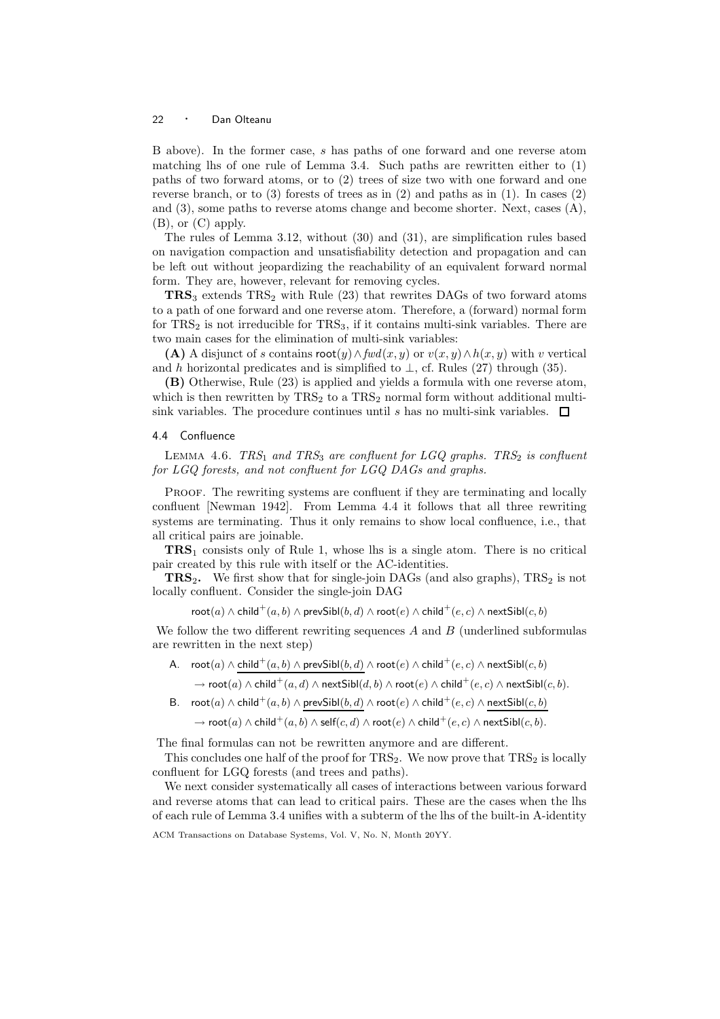B above). In the former case, s has paths of one forward and one reverse atom matching lhs of one rule of Lemma 3.4. Such paths are rewritten either to (1) paths of two forward atoms, or to (2) trees of size two with one forward and one reverse branch, or to  $(3)$  forests of trees as in  $(2)$  and paths as in  $(1)$ . In cases  $(2)$ and (3), some paths to reverse atoms change and become shorter. Next, cases (A), (B), or (C) apply.

The rules of Lemma 3.12, without (30) and (31), are simplification rules based on navigation compaction and unsatisfiability detection and propagation and can be left out without jeopardizing the reachability of an equivalent forward normal form. They are, however, relevant for removing cycles.

 $TRS<sub>3</sub>$  extends  $TRS<sub>2</sub>$  with Rule (23) that rewrites DAGs of two forward atoms to a path of one forward and one reverse atom. Therefore, a (forward) normal form for  $TRS_2$  is not irreducible for  $TRS_3$ , if it contains multi-sink variables. There are two main cases for the elimination of multi-sink variables:

(A) A disjunct of s contains  $\text{root}(y) \wedge \text{fwd}(x, y)$  or  $v(x, y) \wedge h(x, y)$  with v vertical and h horizontal predicates and is simplified to  $\perp$ , cf. Rules (27) through (35).

(B) Otherwise, Rule (23) is applied and yields a formula with one reverse atom, which is then rewritten by  $TRS<sub>2</sub>$  to a  $TRS<sub>2</sub>$  normal form without additional multisink variables. The procedure continues until s has no multi-sink variables.  $\Box$ 

## 4.4 Confluence

LEMMA 4.6.  $TRS_1$  and  $TRS_3$  are confluent for LGQ graphs.  $TRS_2$  is confluent for LGQ forests, and not confluent for LGQ DAGs and graphs.

PROOF. The rewriting systems are confluent if they are terminating and locally confluent [Newman 1942]. From Lemma 4.4 it follows that all three rewriting systems are terminating. Thus it only remains to show local confluence, i.e., that all critical pairs are joinable.

TRS<sup>1</sup> consists only of Rule 1, whose lhs is a single atom. There is no critical pair created by this rule with itself or the AC-identities.

**TRS**<sub>2</sub>. We first show that for single-join DAGs (and also graphs),  $TRS_2$  is not locally confluent. Consider the single-join DAG

 $\mathsf{root}(a) \wedge \mathsf{child}^+(a,b) \wedge \mathsf{prevSibl}(b,d) \wedge \mathsf{root}(e) \wedge \mathsf{child}^+(e,c) \wedge \mathsf{nextSibl}(c,b)$ 

We follow the two different rewriting sequences  $A$  and  $B$  (underlined subformulas are rewritten in the next step)

A.  ${\sf root}(a) \wedge {\sf child}^+(a,b) \wedge {\sf prevSibl}(b,d) \wedge {\sf root}(e) \wedge {\sf child}^+(e,c) \wedge {\sf nextSibl}(c,b)$ 

 $\to$  root $(a)\wedge$  child $^+(a,d)\wedge$  next $\mathsf{Sibl}(d,b)\wedge$  root $(e)\wedge$  child $^+(e,c)\wedge$  next $\mathsf{Sibl}(c,b).$ 

B.  ${\sf root}(a) \wedge {\sf child}^+(a,b) \wedge {\sf prevSibl}(b,d) \wedge {\sf root}(e) \wedge {\sf child}^+(e,c) \wedge {\sf nextSibl}(c,b)$ 

 $\to$  root $(a)\wedge \mathsf{child}^+(a,b)\wedge \mathsf{self}(c,d)\wedge \mathsf{root}(e)\wedge \mathsf{child}^+(e,c)\wedge \mathsf{nextSibl}(c,b).$ 

The final formulas can not be rewritten anymore and are different.

This concludes one half of the proof for  $TRS_2$ . We now prove that  $TRS_2$  is locally confluent for LGQ forests (and trees and paths).

We next consider systematically all cases of interactions between various forward and reverse atoms that can lead to critical pairs. These are the cases when the lhs of each rule of Lemma 3.4 unifies with a subterm of the lhs of the built-in A-identity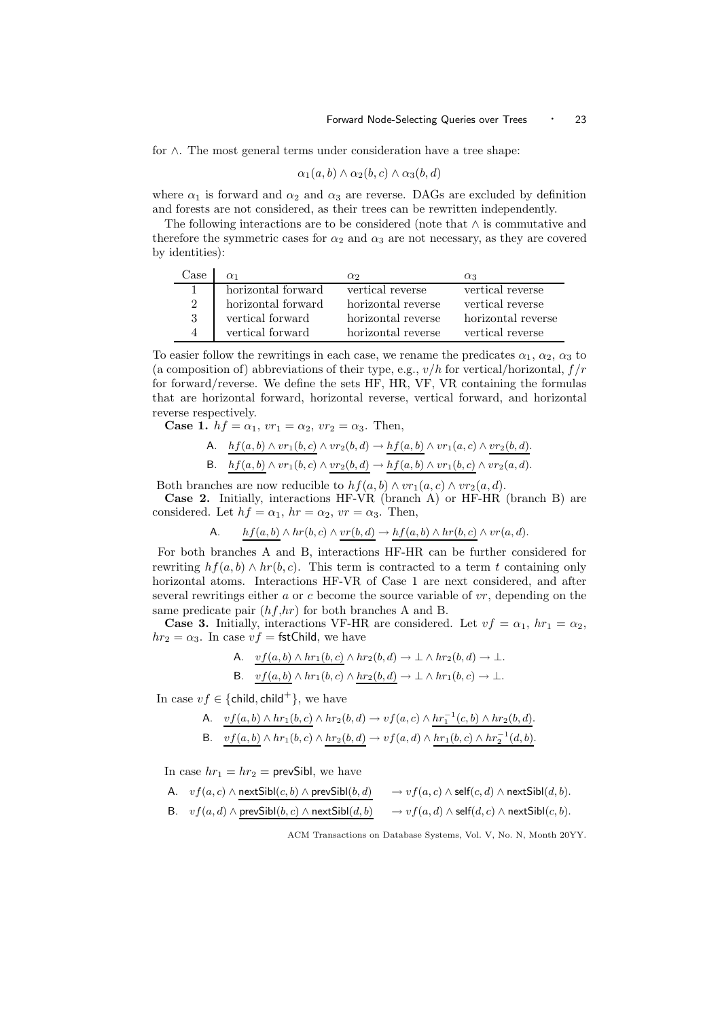for ∧. The most general terms under consideration have a tree shape:

$$
\alpha_1(a,b) \wedge \alpha_2(b,c) \wedge \alpha_3(b,d)
$$

where  $\alpha_1$  is forward and  $\alpha_2$  and  $\alpha_3$  are reverse. DAGs are excluded by definition and forests are not considered, as their trees can be rewritten independently.

The following interactions are to be considered (note that  $\wedge$  is commutative and therefore the symmetric cases for  $\alpha_2$  and  $\alpha_3$  are not necessary, as they are covered by identities):

| ase |                    | $\alpha_2$         | $\alpha_3$         |
|-----|--------------------|--------------------|--------------------|
|     | horizontal forward | vertical reverse   | vertical reverse   |
|     | horizontal forward | horizontal reverse | vertical reverse   |
|     | vertical forward   | horizontal reverse | horizontal reverse |
|     | vertical forward   | horizontal reverse | vertical reverse   |

To easier follow the rewritings in each case, we rename the predicates  $\alpha_1, \alpha_2, \alpha_3$  to (a composition of) abbreviations of their type, e.g.,  $v/h$  for vertical/horizontal,  $f/r$ for forward/reverse. We define the sets HF, HR, VF, VR containing the formulas that are horizontal forward, horizontal reverse, vertical forward, and horizontal reverse respectively.

Case 1.  $hf = \alpha_1$ ,  $vr_1 = \alpha_2$ ,  $vr_2 = \alpha_3$ . Then,

A. 
$$
hf(a, b) \wedge vr_1(b, c) \wedge vr_2(b, d) \rightarrow hf(a, b) \wedge vr_1(a, c) \wedge vr_2(b, d)
$$
.

B.  $hf(a, b) \wedge vr_1(b, c) \wedge vr_2(b, d) \rightarrow hf(a, b) \wedge vr_1(b, c) \wedge vr_2(a, d).$ 

Both branches are now reducible to  $hf(a, b) \wedge vr_1(a, c) \wedge vr_2(a, d)$ . Case 2. Initially, interactions HF-VR (branch A) or HF-HR (branch B) are

considered. Let  $hf = \alpha_1$ ,  $hr = \alpha_2$ ,  $vr = \alpha_3$ . Then,

A. 
$$
hf(a,b) \wedge hr(b,c) \wedge vr(b,d) \rightarrow hf(a,b) \wedge hr(b,c) \wedge vr(a,d)
$$
.

For both branches A and B, interactions HF-HR can be further considered for rewriting  $hf(a, b) \wedge hr(b, c)$ . This term is contracted to a term t containing only horizontal atoms. Interactions HF-VR of Case 1 are next considered, and after several rewritings either  $a$  or  $c$  become the source variable of  $vr$ , depending on the same predicate pair  $(hf, hr)$  for both branches A and B.

**Case 3.** Initially, interactions VF-HR are considered. Let  $vf = \alpha_1$ ,  $hr_1 = \alpha_2$ ,  $hr_2 = \alpha_3$ . In case  $vf =$  fstChild, we have

A. 
$$
\underline{v f(a,b) \wedge hr_1(b,c)} \wedge hr_2(b,d) \rightarrow \bot \wedge hr_2(b,d) \rightarrow \bot.
$$

B. 
$$
vf(a, b) \wedge hr_1(b, c) \wedge hr_2(b, d) \rightarrow \bot \wedge hr_1(b, c) \rightarrow \bot
$$
.

In case  $vf \in \{\text{child}, \text{child}^+\}$ , we have

A. 
$$
\underline{vf(a,b) \land hr_1(b,c)} \land hr_2(b,d) \rightarrow vf(a,c) \land hr_1^{-1}(c,b) \land hr_2(b,d).
$$
  
B. 
$$
\underline{vf(a,b)} \land hr_1(b,c) \land hr_2(b,d) \rightarrow vf(a,d) \land hr_1(b,c) \land hr_2^{-1}(d,b).
$$

In case  $hr_1 = hr_2$  = prevSibl, we have

A. 
$$
vf(a, c) \land \text{nextSibl}(c, b) \land \text{prevSibl}(b, d)
$$
  
\nB.  $vf(a, d) \land \text{prevSibl}(b, c) \land \text{nextSibl}(d, b)$   
\n $\rightarrow vf(a, d) \land \text{self}(c, d) \land \text{nextSibl}(d, b)$ .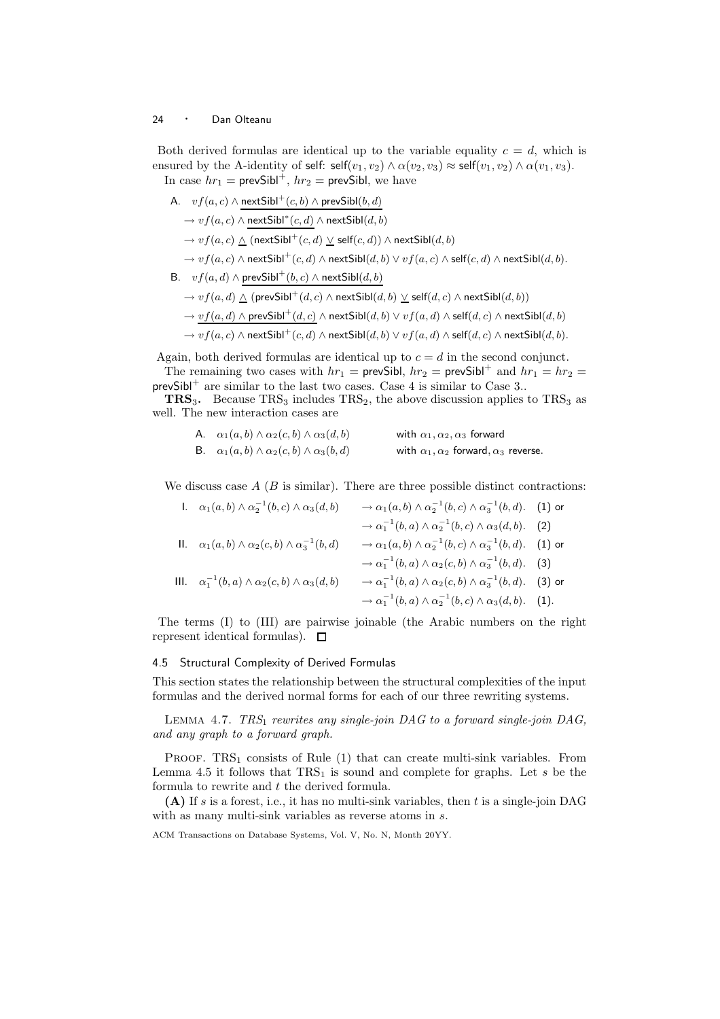Both derived formulas are identical up to the variable equality  $c = d$ , which is ensured by the A-identity of self:  $\text{self}(v_1, v_2) \wedge \alpha(v_2, v_3) \approx \text{self}(v_1, v_2) \wedge \alpha(v_1, v_3)$ . In case  $hr_1 = \text{prevSibl}^+$ ,  $hr_2 = \text{prevSibl}$ , we have

A. 
$$
vf(a, c) \land \text{nextSibl}^+(c, b) \land \text{prevSibl}(b, d)
$$
  
\n→  $vf(a, c) \land \text{nextSibl}^*(c, d) \land \text{nextSibl}(d, b)$   
\n→  $vf(a, c) \land (\text{nextSibl}^+(c, d) \lor \text{self}(c, d)) \land \text{nextSibl}(d, b)$   
\n→  $vf(a, c) \land \text{nextSibl}^+(c, d) \land \text{nextSibl}(d, b) \lor vf(a, c) \land \text{self}(c, d) \land \text{nextSibl}(d, b)$ .  
\nB.  $vf(a, d) \land \text{prevSibl}^+(b, c) \land \text{nextSibl}(d, b)$ 

$$
\rightarrow v f(a,d) \mathrel{\wedge} (\mathsf{prevSibl}^+(d,c) \mathrel{\wedge} \mathsf{nextSibl}(d,b) \mathrel{\vee} \mathsf{self}(d,c) \mathrel{\wedge} \mathsf{nextSibl}(d,b))
$$

$$
\rightarrow \underbrace{v f(a,d) \land \mathsf{prevSibl}^+(d,c)} \land \mathsf{nextSibl}(d,b) \lor v f(a,d) \land \mathsf{self}(d,c) \land \mathsf{nextSibl}(d,b)
$$

 $\rightarrow v f(a, c) \land \mathsf{nextSibl}^+(c, d) \land \mathsf{nextSibl}(d, b) \lor v f(a, d) \land \mathsf{self}(d, c) \land \mathsf{nextSibl}(d, b).$ 

Again, both derived formulas are identical up to  $c = d$  in the second conjunct. The remaining two cases with  $hr_1$  = prevSibl,  $hr_2$  = prevSibl<sup>+</sup> and  $hr_1 = hr_2$  =

prevSibl<sup>+</sup> are similar to the last two cases. Case 4 is similar to Case 3..

**TRS<sub>3</sub>.** Because  $TRS_3$  includes  $TRS_2$ , the above discussion applies to  $TRS_3$  as well. The new interaction cases are

| A. $\alpha_1(a,b) \wedge \alpha_2(c,b) \wedge \alpha_3(d,b)$ | with $\alpha_1, \alpha_2, \alpha_3$ forward            |
|--------------------------------------------------------------|--------------------------------------------------------|
| B. $\alpha_1(a,b) \wedge \alpha_2(c,b) \wedge \alpha_3(b,d)$ | with $\alpha_1, \alpha_2$ forward, $\alpha_3$ reverse. |

We discuss case  $A \ (B \text{ is similar}).$  There are three possible distinct contractions:

1. 
$$
\alpha_1(a,b) \wedge \alpha_2^{-1}(b,c) \wedge \alpha_3(d,b) \rightarrow \alpha_1(a,b) \wedge \alpha_2^{-1}(b,c) \wedge \alpha_3^{-1}(b,d).
$$
 (1) or  
\n $\rightarrow \alpha_1^{-1}(b,a) \wedge \alpha_2^{-1}(b,c) \wedge \alpha_3(d,b).$  (2)  
\n11.  $\alpha_1(a,b) \wedge \alpha_2(c,b) \wedge \alpha_3^{-1}(b,d) \rightarrow \alpha_1(a,b) \wedge \alpha_2^{-1}(b,c) \wedge \alpha_3^{-1}(b,d).$  (1) or  
\n $\rightarrow \alpha_1^{-1}(b,a) \wedge \alpha_2(c,b) \wedge \alpha_3(d,b) \rightarrow \alpha_1^{-1}(b,a) \wedge \alpha_2(c,b) \wedge \alpha_3^{-1}(b,d).$  (3) or  
\n $\rightarrow \alpha_1^{-1}(b,a) \wedge \alpha_2(c,b) \wedge \alpha_3^{-1}(b,c) \wedge \alpha_3(d,b).$  (1).

The terms (I) to (III) are pairwise joinable (the Arabic numbers on the right represent identical formulas).  $\Box$ 

## 4.5 Structural Complexity of Derived Formulas

This section states the relationship between the structural complexities of the input formulas and the derived normal forms for each of our three rewriting systems.

LEMMA 4.7.  $TRS_1$  rewrites any single-join DAG to a forward single-join DAG, and any graph to a forward graph.

PROOF.  $TRS<sub>1</sub>$  consists of Rule (1) that can create multi-sink variables. From Lemma 4.5 it follows that  $TRS<sub>1</sub>$  is sound and complete for graphs. Let s be the formula to rewrite and  $t$  the derived formula.

 $(A)$  If s is a forest, i.e., it has no multi-sink variables, then t is a single-join DAG with as many multi-sink variables as reverse atoms in s.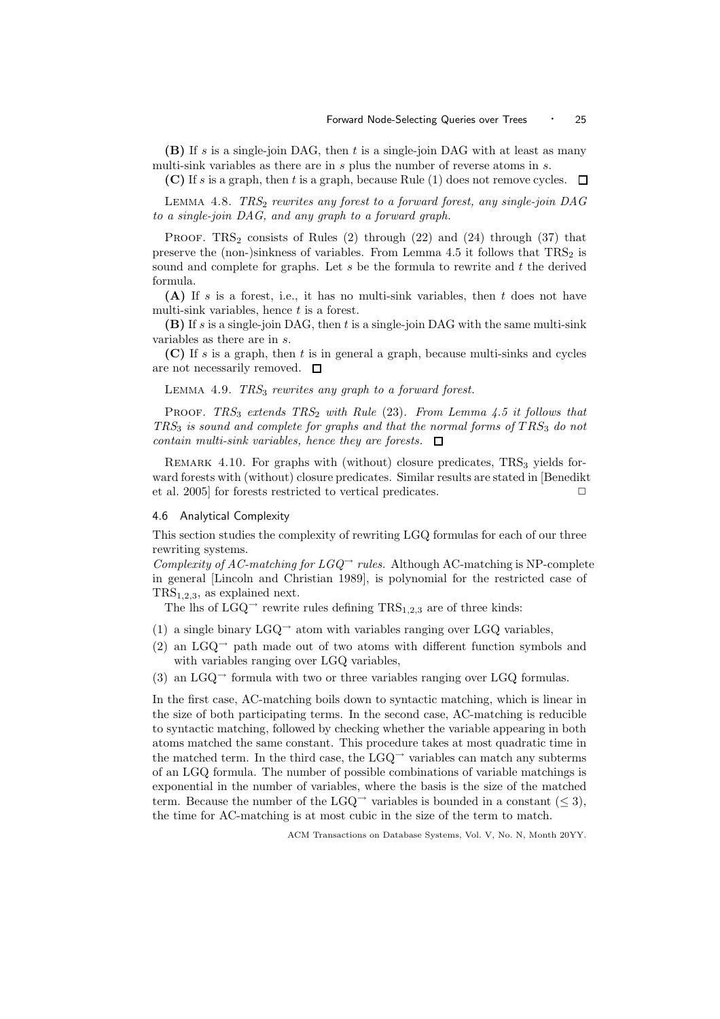(B) If s is a single-join DAG, then  $t$  is a single-join DAG with at least as many multi-sink variables as there are in s plus the number of reverse atoms in s.

(C) If s is a graph, then t is a graph, because Rule (1) does not remove cycles.  $\Box$ 

LEMMA 4.8.  $TRS_2$  rewrites any forest to a forward forest, any single-join  $DAG$ to a single-join DAG, and any graph to a forward graph.

PROOF. TRS<sub>2</sub> consists of Rules  $(2)$  through  $(22)$  and  $(24)$  through  $(37)$  that preserve the (non-)sinkness of variables. From Lemma 4.5 it follows that  $TRS_2$  is sound and complete for graphs. Let  $s$  be the formula to rewrite and  $t$  the derived formula.

(A) If s is a forest, i.e., it has no multi-sink variables, then  $t$  does not have multi-sink variables, hence  $t$  is a forest.

(B) If s is a single-join DAG, then t is a single-join DAG with the same multi-sink variables as there are in s.

(C) If s is a graph, then t is in general a graph, because multi-sinks and cycles are not necessarily removed.  $\square$ 

LEMMA 4.9.  $TRS<sub>3</sub>$  rewrites any graph to a forward forest.

PROOF. TRS<sub>3</sub> extends  $TRS_2$  with Rule (23). From Lemma 4.5 it follows that  $TRS<sub>3</sub>$  is sound and complete for graphs and that the normal forms of  $TRS<sub>3</sub>$  do not contain multi-sink variables, hence they are forests.  $\Box$ 

REMARK 4.10. For graphs with (without) closure predicates,  $TRS<sub>3</sub>$  yields forward forests with (without) closure predicates. Similar results are stated in [Benedikt et al. 2005] for forests restricted to vertical predicates.

#### 4.6 Analytical Complexity

This section studies the complexity of rewriting LGQ formulas for each of our three rewriting systems.

Complexity of AC-matching for  $LGQ^{\rightarrow}$  rules. Although AC-matching is NP-complete in general [Lincoln and Christian 1989], is polynomial for the restricted case of  $TRS<sub>1,2,3</sub>$ , as explained next.

The lhs of  $LGQ^{\rightarrow}$  rewrite rules defining  $TRS_{1,2,3}$  are of three kinds:

- (1) a single binary  $LGQ^{\rightarrow}$  atom with variables ranging over LGQ variables,
- (2) an  $LGQ^{\rightarrow}$  path made out of two atoms with different function symbols and with variables ranging over LGQ variables,
- (3) an  $LGQ^{\rightarrow}$  formula with two or three variables ranging over LGQ formulas.

In the first case, AC-matching boils down to syntactic matching, which is linear in the size of both participating terms. In the second case, AC-matching is reducible to syntactic matching, followed by checking whether the variable appearing in both atoms matched the same constant. This procedure takes at most quadratic time in the matched term. In the third case, the  $L \text{GQ}^{\rightarrow}$  variables can match any subterms of an LGQ formula. The number of possible combinations of variable matchings is exponential in the number of variables, where the basis is the size of the matched term. Because the number of the LGQ<sup>→</sup> variables is bounded in a constant  $(< 3$ ), the time for AC-matching is at most cubic in the size of the term to match.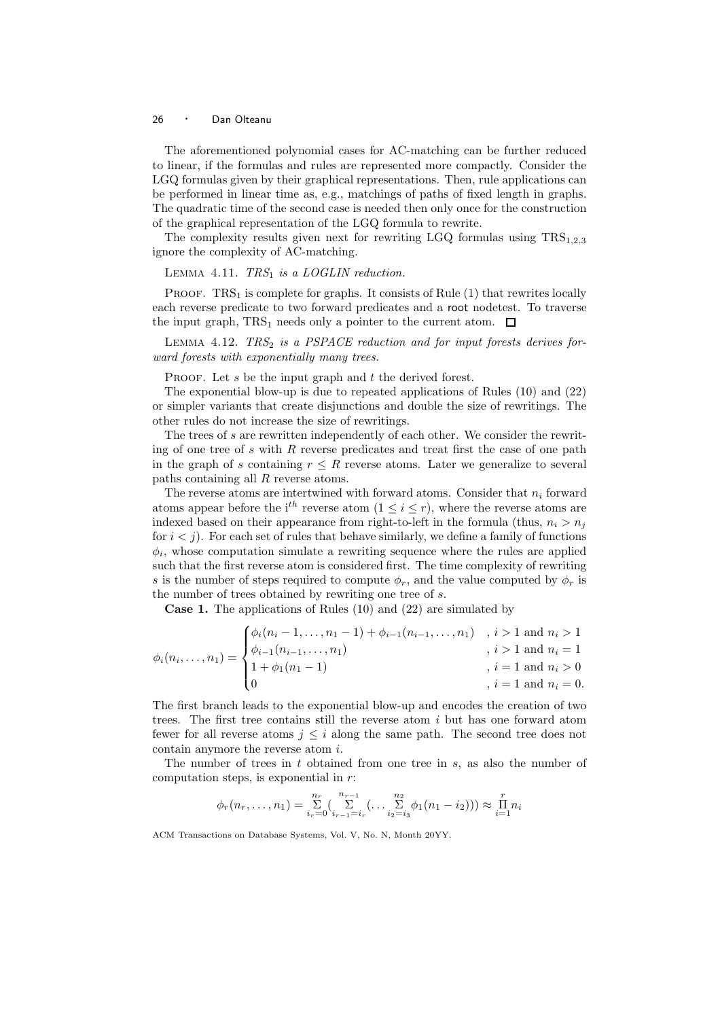The aforementioned polynomial cases for AC-matching can be further reduced to linear, if the formulas and rules are represented more compactly. Consider the LGQ formulas given by their graphical representations. Then, rule applications can be performed in linear time as, e.g., matchings of paths of fixed length in graphs. The quadratic time of the second case is needed then only once for the construction of the graphical representation of the LGQ formula to rewrite.

The complexity results given next for rewriting LGQ formulas using  $TRS_{1,2,3}$ ignore the complexity of AC-matching.

LEMMA 4.11.  $TRS_1$  is a LOGLIN reduction.

PROOF.  $TRS<sub>1</sub>$  is complete for graphs. It consists of Rule (1) that rewrites locally each reverse predicate to two forward predicates and a root nodetest. To traverse the input graph,  $TRS_1$  needs only a pointer to the current atom.  $\Box$ 

LEMMA 4.12. TRS<sub>2</sub> is a PSPACE reduction and for input forests derives forward forests with exponentially many trees.

PROOF. Let  $s$  be the input graph and  $t$  the derived forest.

The exponential blow-up is due to repeated applications of Rules (10) and (22) or simpler variants that create disjunctions and double the size of rewritings. The other rules do not increase the size of rewritings.

The trees of s are rewritten independently of each other. We consider the rewriting of one tree of s with R reverse predicates and treat first the case of one path in the graph of s containing  $r \leq R$  reverse atoms. Later we generalize to several paths containing all R reverse atoms.

The reverse atoms are intertwined with forward atoms. Consider that  $n_i$  forward atoms appear before the i<sup>th</sup> reverse atom ( $1 \leq i \leq r$ ), where the reverse atoms are indexed based on their appearance from right-to-left in the formula (thus,  $n_i > n_j$ ) for  $i < j$ ). For each set of rules that behave similarly, we define a family of functions  $\phi_i$ , whose computation simulate a rewriting sequence where the rules are applied such that the first reverse atom is considered first. The time complexity of rewriting s is the number of steps required to compute  $\phi_r$ , and the value computed by  $\phi_r$  is the number of trees obtained by rewriting one tree of s.

Case 1. The applications of Rules (10) and (22) are simulated by

$$
\phi_i(n_i, \dots, n_1) = \begin{cases} \phi_i(n_i - 1, \dots, n_1 - 1) + \phi_{i-1}(n_{i-1}, \dots, n_1) & , i > 1 \text{ and } n_i > 1 \\ \phi_{i-1}(n_{i-1}, \dots, n_1) & , i > 1 \text{ and } n_i = 1 \\ 1 + \phi_1(n_1 - 1) & , i = 1 \text{ and } n_i > 0 \\ 0 & , i = 1 \text{ and } n_i = 0. \end{cases}
$$

The first branch leads to the exponential blow-up and encodes the creation of two trees. The first tree contains still the reverse atom  $i$  but has one forward atom fewer for all reverse atoms  $j \leq i$  along the same path. The second tree does not contain anymore the reverse atom i.

The number of trees in  $t$  obtained from one tree in  $s$ , as also the number of computation steps, is exponential in r:

$$
\phi_r(n_r, \ldots, n_1) = \sum_{i_r=0}^{n_r} \left( \sum_{i_{r-1}=i_r}^{n_{r-1}} \left( \ldots \sum_{i_2=i_3}^{n_2} \phi_1(n_1 - i_2) \right) \right) \approx \prod_{i=1}^r n_i
$$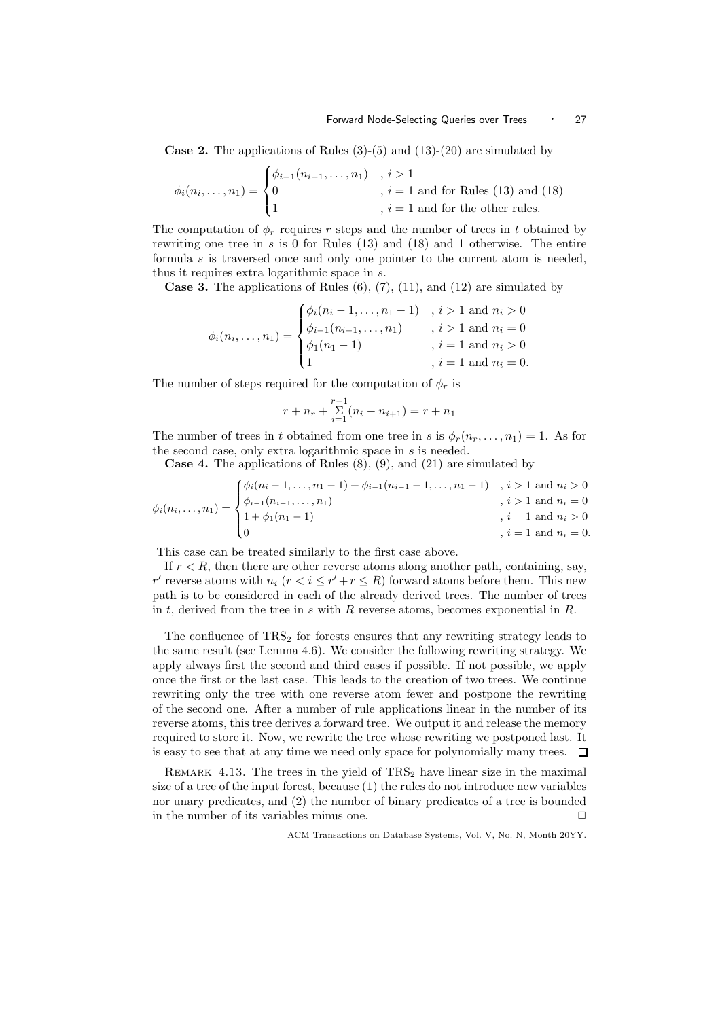**Case 2.** The applications of Rules  $(3)-(5)$  and  $(13)-(20)$  are simulated by

$$
\phi_i(n_i, \dots, n_1) = \begin{cases} \phi_{i-1}(n_{i-1}, \dots, n_1) & i > 1 \\ 0 & i = 1 \text{ and for Rules (13) and (18) } \\ 1 & i = 1 \text{ and for the other rules.} \end{cases}
$$

The computation of  $\phi_r$  requires r steps and the number of trees in t obtained by rewriting one tree in s is 0 for Rules  $(13)$  and  $(18)$  and 1 otherwise. The entire formula s is traversed once and only one pointer to the current atom is needed, thus it requires extra logarithmic space in s.

**Case 3.** The applications of Rules  $(6)$ ,  $(7)$ ,  $(11)$ , and  $(12)$  are simulated by

$$
\phi_i(n_i, \dots, n_1) = \begin{cases} \phi_i(n_i - 1, \dots, n_1 - 1) & , i > 1 \text{ and } n_i > 0 \\ \phi_{i-1}(n_{i-1}, \dots, n_1) & , i > 1 \text{ and } n_i = 0 \\ \phi_1(n_1 - 1) & , i = 1 \text{ and } n_i > 0 \\ 1 & , i = 1 \text{ and } n_i = 0. \end{cases}
$$

The number of steps required for the computation of  $\phi_r$  is

$$
r + n_r + \sum_{i=1}^{r-1} (n_i - n_{i+1}) = r + n_1
$$

The number of trees in t obtained from one tree in s is  $\phi_r(n_r, \ldots, n_1) = 1$ . As for the second case, only extra logarithmic space in s is needed.

**Case 4.** The applications of Rules  $(8)$ ,  $(9)$ , and  $(21)$  are simulated by

$$
\phi_i(n_i, \dots, n_1) = \begin{cases} \phi_i(n_i - 1, \dots, n_1 - 1) + \phi_{i-1}(n_{i-1} - 1, \dots, n_1 - 1) & , i > 1 \text{ and } n_i > 0 \\ \phi_{i-1}(n_{i-1}, \dots, n_1) & , i > 1 \text{ and } n_i = 0 \\ 1 + \phi_1(n_1 - 1) & , i = 1 \text{ and } n_i > 0 \\ 0 & , i = 1 \text{ and } n_i = 0. \end{cases}
$$

This case can be treated similarly to the first case above.

If  $r < R$ , then there are other reverse atoms along another path, containing, say, r' reverse atoms with  $n_i$   $(r < i \le r' + r \le R)$  forward atoms before them. This new path is to be considered in each of the already derived trees. The number of trees in t, derived from the tree in s with R reverse atoms, becomes exponential in  $R$ .

The confluence of  $TRS<sub>2</sub>$  for forests ensures that any rewriting strategy leads to the same result (see Lemma 4.6). We consider the following rewriting strategy. We apply always first the second and third cases if possible. If not possible, we apply once the first or the last case. This leads to the creation of two trees. We continue rewriting only the tree with one reverse atom fewer and postpone the rewriting of the second one. After a number of rule applications linear in the number of its reverse atoms, this tree derives a forward tree. We output it and release the memory required to store it. Now, we rewrite the tree whose rewriting we postponed last. It is easy to see that at any time we need only space for polynomially many trees.  $\Box$ 

REMARK 4.13. The trees in the yield of  $TRS<sub>2</sub>$  have linear size in the maximal size of a tree of the input forest, because (1) the rules do not introduce new variables nor unary predicates, and (2) the number of binary predicates of a tree is bounded in the number of its variables minus one.  $\Box$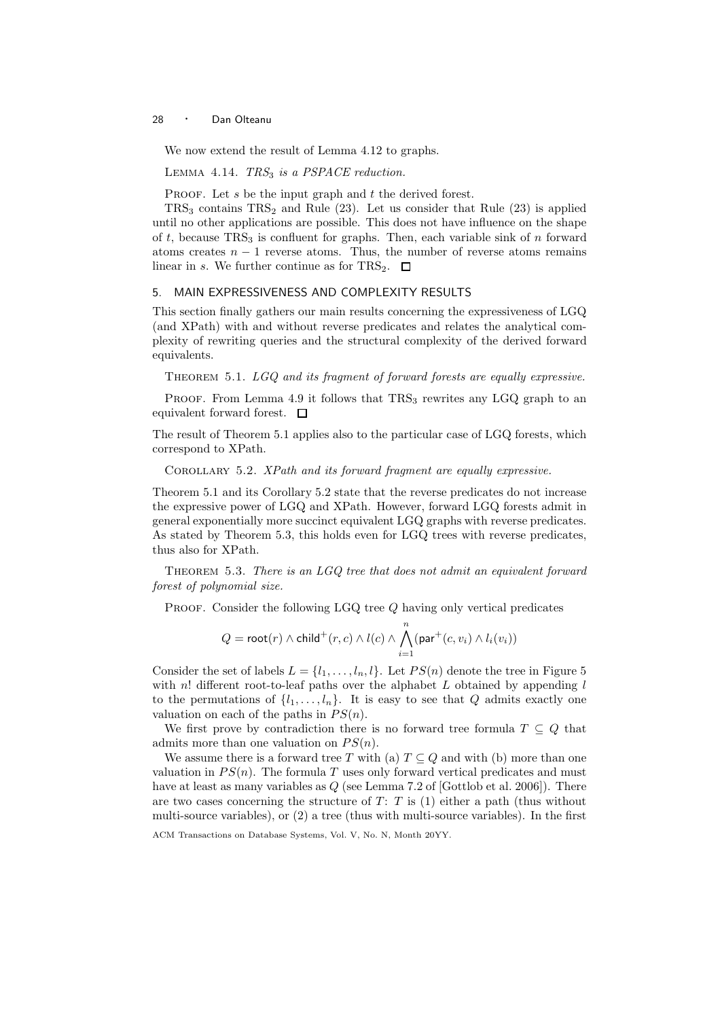We now extend the result of Lemma 4.12 to graphs.

LEMMA 4.14.  $TRS<sub>3</sub>$  is a PSPACE reduction.

PROOF. Let  $s$  be the input graph and  $t$  the derived forest.

 $TRS<sub>3</sub>$  contains  $TRS<sub>2</sub>$  and Rule (23). Let us consider that Rule (23) is applied until no other applications are possible. This does not have influence on the shape of t, because  $TRS<sub>3</sub>$  is confluent for graphs. Then, each variable sink of n forward atoms creates  $n - 1$  reverse atoms. Thus, the number of reverse atoms remains linear in s. We further continue as for TRS<sub>2</sub>.  $\Box$ 

## 5. MAIN EXPRESSIVENESS AND COMPLEXITY RESULTS

This section finally gathers our main results concerning the expressiveness of LGQ (and XPath) with and without reverse predicates and relates the analytical complexity of rewriting queries and the structural complexity of the derived forward equivalents.

THEOREM 5.1. LGQ and its fragment of forward forests are equally expressive.

PROOF. From Lemma 4.9 it follows that  $TRS<sub>3</sub>$  rewrites any LGQ graph to an equivalent forward forest.  $\Box$ 

The result of Theorem 5.1 applies also to the particular case of LGQ forests, which correspond to XPath.

COROLLARY 5.2. XPath and its forward fragment are equally expressive.

Theorem 5.1 and its Corollary 5.2 state that the reverse predicates do not increase the expressive power of LGQ and XPath. However, forward LGQ forests admit in general exponentially more succinct equivalent LGQ graphs with reverse predicates. As stated by Theorem 5.3, this holds even for LGQ trees with reverse predicates, thus also for XPath.

THEOREM 5.3. There is an  $LGQ$  tree that does not admit an equivalent forward forest of polynomial size.

PROOF. Consider the following LGQ tree Q having only vertical predicates

$$
Q = \mathsf{root}(r) \wedge \mathsf{child}^+(r,c) \wedge l(c) \wedge \bigwedge_{i=1}^n (\mathsf{par}^+(c,v_i) \wedge l_i(v_i))
$$

Consider the set of labels  $L = \{l_1, \ldots, l_n, l\}$ . Let  $PS(n)$  denote the tree in Figure 5 with n! different root-to-leaf paths over the alphabet  $L$  obtained by appending  $l$ to the permutations of  $\{l_1, \ldots, l_n\}$ . It is easy to see that Q admits exactly one valuation on each of the paths in  $PS(n)$ .

We first prove by contradiction there is no forward tree formula  $T \subseteq Q$  that admits more than one valuation on  $PS(n)$ .

We assume there is a forward tree T with (a)  $T \subseteq Q$  and with (b) more than one valuation in  $PS(n)$ . The formula T uses only forward vertical predicates and must have at least as many variables as  $Q$  (see Lemma 7.2 of [Gottlob et al. 2006]). There are two cases concerning the structure of  $T: T$  is (1) either a path (thus without multi-source variables), or (2) a tree (thus with multi-source variables). In the first

ACM Transactions on Database Systems, Vol. V, No. N, Month 20YY.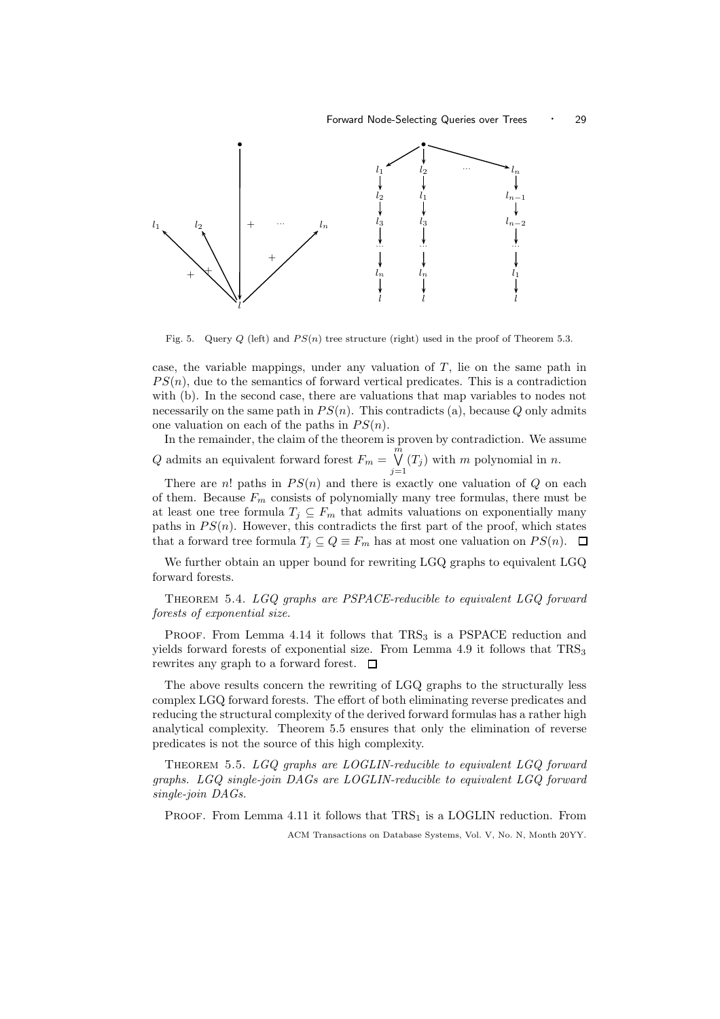

Fig. 5. Query Q (left) and  $PS(n)$  tree structure (right) used in the proof of Theorem 5.3.

case, the variable mappings, under any valuation of  $T$ , lie on the same path in  $PS(n)$ , due to the semantics of forward vertical predicates. This is a contradiction with (b). In the second case, there are valuations that map variables to nodes not necessarily on the same path in  $PS(n)$ . This contradicts (a), because Q only admits one valuation on each of the paths in  $PS(n)$ .

In the remainder, the claim of the theorem is proven by contradiction. We assume  $Q$  admits an equivalent forward forest  $F_m = \stackrel{\hat{m}}{\bigvee}$  $\bigvee_{j=1} (T_j)$  with m polynomial in n.

There are n! paths in  $PS(n)$  and there is exactly one valuation of Q on each of them. Because  $F_m$  consists of polynomially many tree formulas, there must be at least one tree formula  $T_j \subseteq F_m$  that admits valuations on exponentially many paths in  $PS(n)$ . However, this contradicts the first part of the proof, which states that a forward tree formula  $T_j \subseteq Q \equiv F_m$  has at most one valuation on  $PS(n)$ .  $\Box$ 

We further obtain an upper bound for rewriting LGQ graphs to equivalent LGQ forward forests.

THEOREM 5.4. LGQ graphs are PSPACE-reducible to equivalent LGQ forward forests of exponential size.

PROOF. From Lemma 4.14 it follows that  $TRS<sub>3</sub>$  is a PSPACE reduction and yields forward forests of exponential size. From Lemma 4.9 it follows that  $TRS<sub>3</sub>$ rewrites any graph to a forward forest.  $\Box$ 

The above results concern the rewriting of LGQ graphs to the structurally less complex LGQ forward forests. The effort of both eliminating reverse predicates and reducing the structural complexity of the derived forward formulas has a rather high analytical complexity. Theorem 5.5 ensures that only the elimination of reverse predicates is not the source of this high complexity.

Theorem 5.5. LGQ graphs are LOGLIN-reducible to equivalent LGQ forward graphs. LGQ single-join DAGs are LOGLIN-reducible to equivalent LGQ forward single-join DAGs.

PROOF. From Lemma 4.11 it follows that  $TRS<sub>1</sub>$  is a LOGLIN reduction. From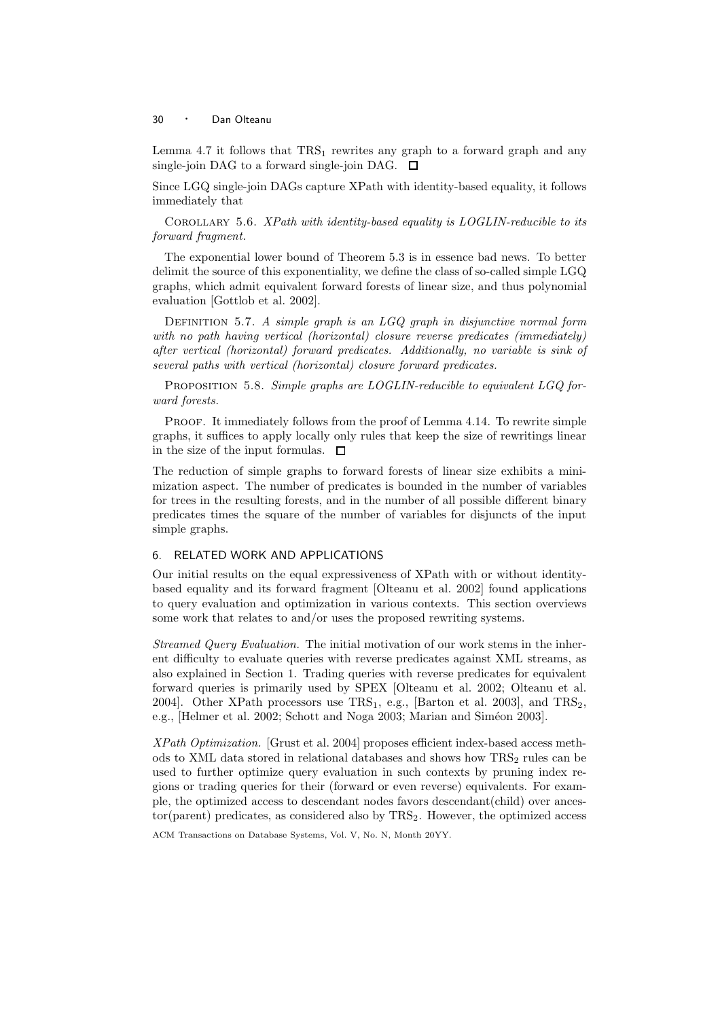Lemma 4.7 it follows that  $TRS_1$  rewrites any graph to a forward graph and any single-join DAG to a forward single-join DAG.  $\square$ 

Since LGQ single-join DAGs capture XPath with identity-based equality, it follows immediately that

COROLLARY 5.6. XPath with identity-based equality is LOGLIN-reducible to its forward fragment.

The exponential lower bound of Theorem 5.3 is in essence bad news. To better delimit the source of this exponentiality, we define the class of so-called simple LGQ graphs, which admit equivalent forward forests of linear size, and thus polynomial evaluation [Gottlob et al. 2002].

DEFINITION 5.7. A simple graph is an  $LGQ$  graph in disjunctive normal form with no path having vertical (horizontal) closure reverse predicates (immediately) after vertical (horizontal) forward predicates. Additionally, no variable is sink of several paths with vertical (horizontal) closure forward predicates.

PROPOSITION 5.8. Simple graphs are LOGLIN-reducible to equivalent LGQ forward forests.

Proof. It immediately follows from the proof of Lemma 4.14. To rewrite simple graphs, it suffices to apply locally only rules that keep the size of rewritings linear in the size of the input formulas.  $\Box$ 

The reduction of simple graphs to forward forests of linear size exhibits a minimization aspect. The number of predicates is bounded in the number of variables for trees in the resulting forests, and in the number of all possible different binary predicates times the square of the number of variables for disjuncts of the input simple graphs.

## 6. RELATED WORK AND APPLICATIONS

Our initial results on the equal expressiveness of XPath with or without identitybased equality and its forward fragment [Olteanu et al. 2002] found applications to query evaluation and optimization in various contexts. This section overviews some work that relates to and/or uses the proposed rewriting systems.

Streamed Query Evaluation. The initial motivation of our work stems in the inherent difficulty to evaluate queries with reverse predicates against XML streams, as also explained in Section 1. Trading queries with reverse predicates for equivalent forward queries is primarily used by SPEX [Olteanu et al. 2002; Olteanu et al. 2004]. Other XPath processors use  $TRS_1$ , e.g., [Barton et al. 2003], and  $TRS_2$ , e.g., [Helmer et al. 2002; Schott and Noga 2003; Marian and Siméon 2003].

XPath Optimization. [Grust et al. 2004] proposes efficient index-based access methods to XML data stored in relational databases and shows how  $TRS<sub>2</sub>$  rules can be used to further optimize query evaluation in such contexts by pruning index regions or trading queries for their (forward or even reverse) equivalents. For example, the optimized access to descendant nodes favors descendant(child) over ancestor(parent) predicates, as considered also by  $TRS_2$ . However, the optimized access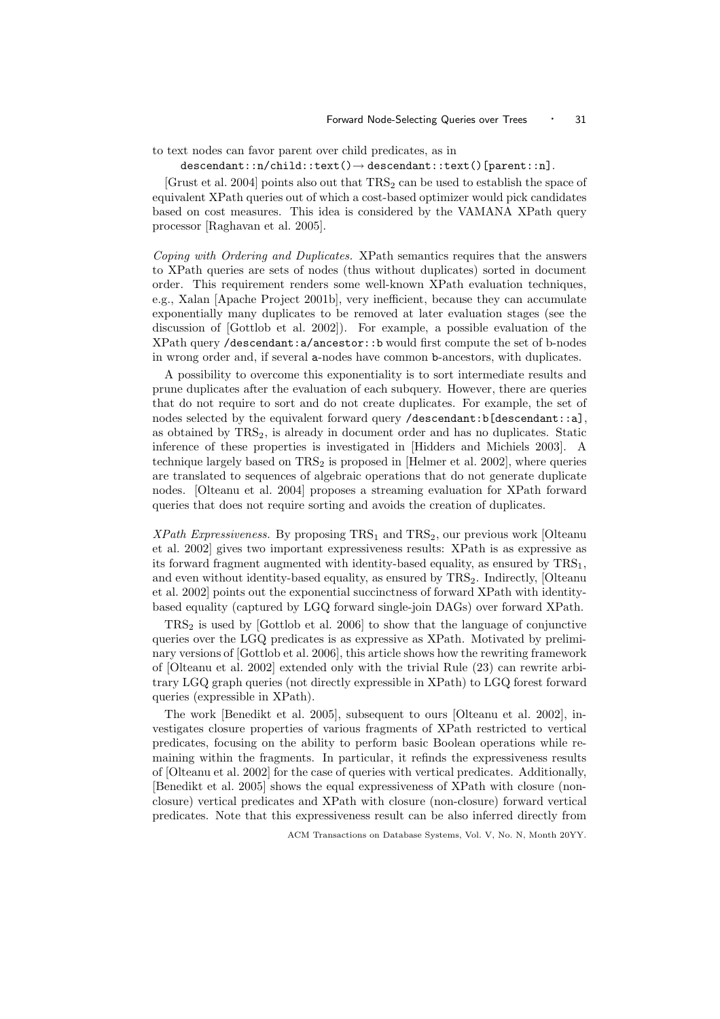to text nodes can favor parent over child predicates, as in

descendant::n/child::text()→ descendant::text()[parent::n].

[Grust et al. 2004] points also out that  $TRS_2$  can be used to establish the space of equivalent XPath queries out of which a cost-based optimizer would pick candidates based on cost measures. This idea is considered by the VAMANA XPath query processor [Raghavan et al. 2005].

Coping with Ordering and Duplicates. XPath semantics requires that the answers to XPath queries are sets of nodes (thus without duplicates) sorted in document order. This requirement renders some well-known XPath evaluation techniques, e.g., Xalan [Apache Project 2001b], very inefficient, because they can accumulate exponentially many duplicates to be removed at later evaluation stages (see the discussion of [Gottlob et al. 2002]). For example, a possible evaluation of the XPath query /descendant:a/ancestor::b would first compute the set of b-nodes in wrong order and, if several a-nodes have common b-ancestors, with duplicates.

A possibility to overcome this exponentiality is to sort intermediate results and prune duplicates after the evaluation of each subquery. However, there are queries that do not require to sort and do not create duplicates. For example, the set of nodes selected by the equivalent forward query /descendant:b[descendant::a], as obtained by  $TRS<sub>2</sub>$ , is already in document order and has no duplicates. Static inference of these properties is investigated in [Hidders and Michiels 2003]. A technique largely based on  $TRS<sub>2</sub>$  is proposed in [Helmer et al. 2002], where queries are translated to sequences of algebraic operations that do not generate duplicate nodes. [Olteanu et al. 2004] proposes a streaming evaluation for XPath forward queries that does not require sorting and avoids the creation of duplicates.

 $XPath$  Expressiveness. By proposing  $TRS<sub>1</sub>$  and  $TRS<sub>2</sub>$ , our previous work [Olteanu et al. 2002] gives two important expressiveness results: XPath is as expressive as its forward fragment augmented with identity-based equality, as ensured by  $TRS<sub>1</sub>$ , and even without identity-based equality, as ensured by TRS<sub>2</sub>. Indirectly, [Olteanu et al. 2002] points out the exponential succinctness of forward XPath with identitybased equality (captured by LGQ forward single-join DAGs) over forward XPath.

 $TRS<sub>2</sub>$  is used by [Gottlob et al. 2006] to show that the language of conjunctive queries over the LGQ predicates is as expressive as XPath. Motivated by preliminary versions of [Gottlob et al. 2006], this article shows how the rewriting framework of [Olteanu et al. 2002] extended only with the trivial Rule (23) can rewrite arbitrary LGQ graph queries (not directly expressible in XPath) to LGQ forest forward queries (expressible in XPath).

The work [Benedikt et al. 2005], subsequent to ours [Olteanu et al. 2002], investigates closure properties of various fragments of XPath restricted to vertical predicates, focusing on the ability to perform basic Boolean operations while remaining within the fragments. In particular, it refinds the expressiveness results of [Olteanu et al. 2002] for the case of queries with vertical predicates. Additionally, [Benedikt et al. 2005] shows the equal expressiveness of XPath with closure (nonclosure) vertical predicates and XPath with closure (non-closure) forward vertical predicates. Note that this expressiveness result can be also inferred directly from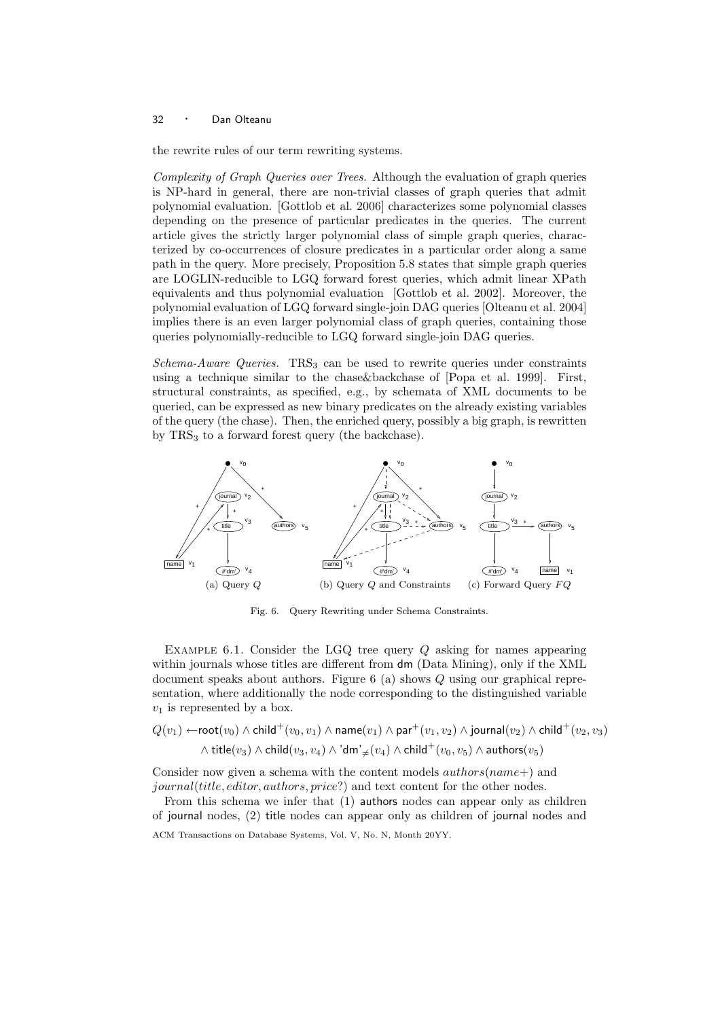the rewrite rules of our term rewriting systems.

Complexity of Graph Queries over Trees. Although the evaluation of graph queries is NP-hard in general, there are non-trivial classes of graph queries that admit polynomial evaluation. [Gottlob et al. 2006] characterizes some polynomial classes depending on the presence of particular predicates in the queries. The current article gives the strictly larger polynomial class of simple graph queries, characterized by co-occurrences of closure predicates in a particular order along a same path in the query. More precisely, Proposition 5.8 states that simple graph queries are LOGLIN-reducible to LGQ forward forest queries, which admit linear XPath equivalents and thus polynomial evaluation [Gottlob et al. 2002]. Moreover, the polynomial evaluation of LGQ forward single-join DAG queries [Olteanu et al. 2004] implies there is an even larger polynomial class of graph queries, containing those queries polynomially-reducible to LGQ forward single-join DAG queries.

 $Schema-Aware$  Queries. TRS<sub>3</sub> can be used to rewrite queries under constraints using a technique similar to the chase&backchase of [Popa et al. 1999]. First, structural constraints, as specified, e.g., by schemata of XML documents to be queried, can be expressed as new binary predicates on the already existing variables of the query (the chase). Then, the enriched query, possibly a big graph, is rewritten by  $TRS<sub>3</sub>$  to a forward forest query (the backchase).



Fig. 6. Query Rewriting under Schema Constraints.

EXAMPLE 6.1. Consider the LGQ tree query  $Q$  asking for names appearing within journals whose titles are different from dm (Data Mining), only if the XML document speaks about authors. Figure 6 (a) shows Q using our graphical representation, where additionally the node corresponding to the distinguished variable  $v_1$  is represented by a box.

$$
Q(v_1) \leftarrow \text{root}(v_0) \land \text{child}^+(v_0, v_1) \land \text{name}(v_1) \land \text{par}^+(v_1, v_2) \land \text{journal}(v_2) \land \text{child}^+(v_2, v_3)
$$

$$
\land \text{ title}(v_3) \land \text{child}(v_3, v_4) \land 'dm' \neq (v_4) \land \text{child}^+(v_0, v_5) \land \text{authors}(v_5)
$$

Consider now given a schema with the content models  $\alpha$ uthors(name+) and journal(title, editor, authors, price?) and text content for the other nodes.

From this schema we infer that (1) authors nodes can appear only as children of journal nodes, (2) title nodes can appear only as children of journal nodes and ACM Transactions on Database Systems, Vol. V, No. N, Month 20YY.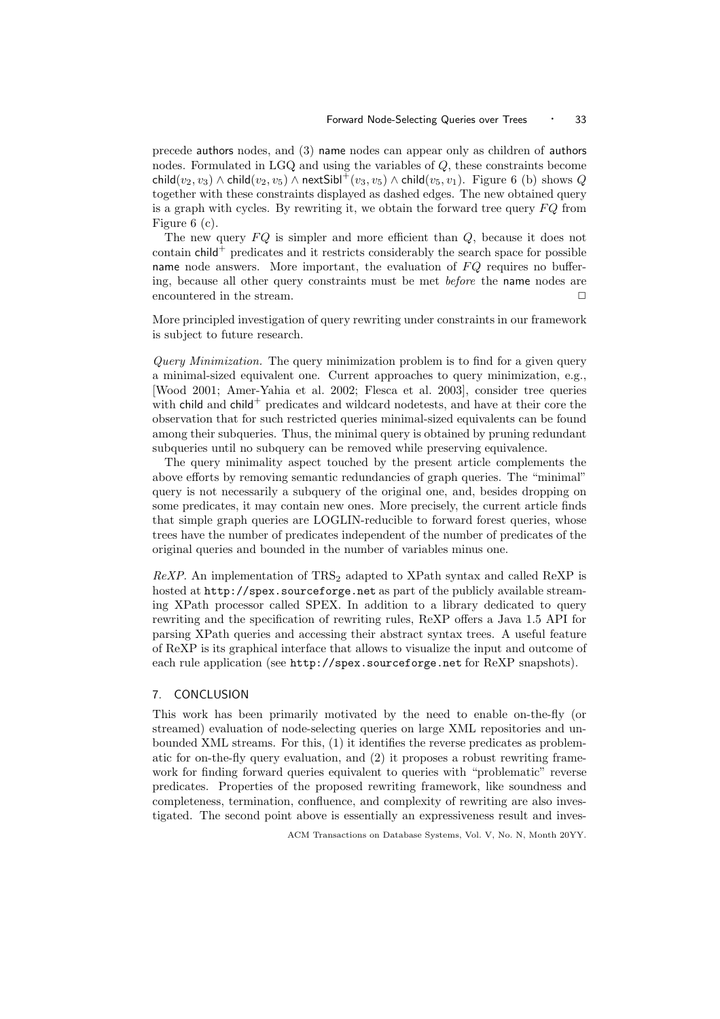precede authors nodes, and (3) name nodes can appear only as children of authors nodes. Formulated in LGQ and using the variables of Q, these constraints become child( $v_2, v_3$ )  $\wedge$  child( $v_2, v_5$ )  $\wedge$  nextSibl<sup>+</sup>( $v_3, v_5$ )  $\wedge$  child( $v_5, v_1$ ). Figure 6 (b) shows Q together with these constraints displayed as dashed edges. The new obtained query is a graph with cycles. By rewriting it, we obtain the forward tree query  $FQ$  from Figure 6 (c).

The new query  $FO$  is simpler and more efficient than  $Q$ , because it does not contain  $child^+$  predicates and it restricts considerably the search space for possible name node answers. More important, the evaluation of  $FQ$  requires no buffering, because all other query constraints must be met before the name nodes are encountered in the stream.  $\Box$ 

More principled investigation of query rewriting under constraints in our framework is subject to future research.

Query Minimization. The query minimization problem is to find for a given query a minimal-sized equivalent one. Current approaches to query minimization, e.g., [Wood 2001; Amer-Yahia et al. 2002; Flesca et al. 2003], consider tree queries with child and child<sup>+</sup> predicates and wildcard nodetests, and have at their core the observation that for such restricted queries minimal-sized equivalents can be found among their subqueries. Thus, the minimal query is obtained by pruning redundant subqueries until no subquery can be removed while preserving equivalence.

The query minimality aspect touched by the present article complements the above efforts by removing semantic redundancies of graph queries. The "minimal" query is not necessarily a subquery of the original one, and, besides dropping on some predicates, it may contain new ones. More precisely, the current article finds that simple graph queries are LOGLIN-reducible to forward forest queries, whose trees have the number of predicates independent of the number of predicates of the original queries and bounded in the number of variables minus one.

 $ReXP$ . An implementation of  $TRS<sub>2</sub>$  adapted to XPath syntax and called ReXP is hosted at http://spex.sourceforge.net as part of the publicly available streaming XPath processor called SPEX. In addition to a library dedicated to query rewriting and the specification of rewriting rules, ReXP offers a Java 1.5 API for parsing XPath queries and accessing their abstract syntax trees. A useful feature of ReXP is its graphical interface that allows to visualize the input and outcome of each rule application (see http://spex.sourceforge.net for ReXP snapshots).

## 7. CONCLUSION

This work has been primarily motivated by the need to enable on-the-fly (or streamed) evaluation of node-selecting queries on large XML repositories and unbounded XML streams. For this, (1) it identifies the reverse predicates as problematic for on-the-fly query evaluation, and (2) it proposes a robust rewriting framework for finding forward queries equivalent to queries with "problematic" reverse predicates. Properties of the proposed rewriting framework, like soundness and completeness, termination, confluence, and complexity of rewriting are also investigated. The second point above is essentially an expressiveness result and inves-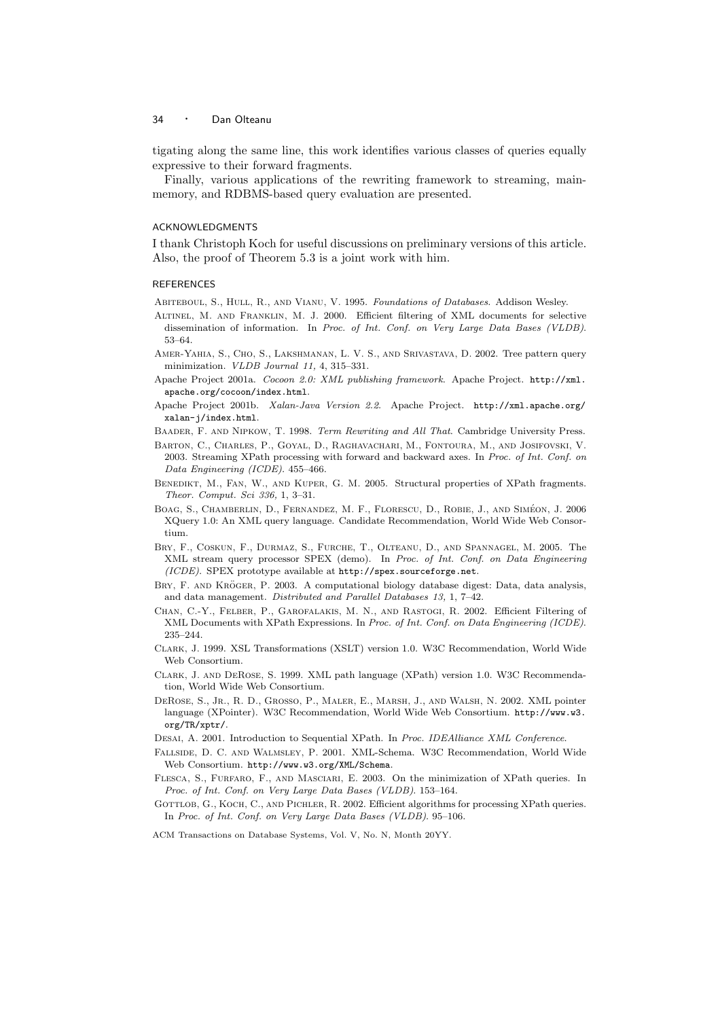tigating along the same line, this work identifies various classes of queries equally expressive to their forward fragments.

Finally, various applications of the rewriting framework to streaming, mainmemory, and RDBMS-based query evaluation are presented.

#### ACKNOWLEDGMENTS

I thank Christoph Koch for useful discussions on preliminary versions of this article. Also, the proof of Theorem 5.3 is a joint work with him.

#### REFERENCES

ABITEBOUL, S., HULL, R., AND VIANU, V. 1995. Foundations of Databases. Addison Wesley.

- Altinel, M. and Franklin, M. J. 2000. Efficient filtering of XML documents for selective dissemination of information. In Proc. of Int. Conf. on Very Large Data Bases (VLDB). 53–64.
- Amer-Yahia, S., Cho, S., Lakshmanan, L. V. S., and Srivastava, D. 2002. Tree pattern query minimization. VLDB Journal 11, 4, 315–331.
- Apache Project 2001a. Cocoon 2.0: XML publishing framework. Apache Project. http://xml. apache.org/cocoon/index.html.
- Apache Project 2001b. Xalan-Java Version 2.2. Apache Project. http://xml.apache.org/ xalan-j/index.html.
- Baader, F. and Nipkow, T. 1998. Term Rewriting and All That. Cambridge University Press.
- Barton, C., Charles, P., Goyal, D., Raghavachari, M., Fontoura, M., and Josifovski, V. 2003. Streaming XPath processing with forward and backward axes. In Proc. of Int. Conf. on Data Engineering (ICDE). 455–466.
- BENEDIKT, M., FAN, W., AND KUPER, G. M. 2005. Structural properties of XPath fragments. Theor. Comput. Sci 336, 1, 3–31.
- BOAG, S., CHAMBERLIN, D., FERNANDEZ, M. F., FLORESCU, D., ROBIE, J., AND SIMÉON, J. 2006 XQuery 1.0: An XML query language. Candidate Recommendation, World Wide Web Consortium.
- Bry, F., Coskun, F., Durmaz, S., Furche, T., Olteanu, D., and Spannagel, M. 2005. The XML stream query processor SPEX (demo). In Proc. of Int. Conf. on Data Engineering (ICDE). SPEX prototype available at http://spex.sourceforge.net.
- BRY, F. AND KRÖGER, P. 2003. A computational biology database digest: Data, data analysis, and data management. Distributed and Parallel Databases 13, 1, 7–42.
- Chan, C.-Y., Felber, P., Garofalakis, M. N., and Rastogi, R. 2002. Efficient Filtering of XML Documents with XPath Expressions. In Proc. of Int. Conf. on Data Engineering (ICDE). 235–244.
- Clark, J. 1999. XSL Transformations (XSLT) version 1.0. W3C Recommendation, World Wide Web Consortium.
- Clark, J. and DeRose, S. 1999. XML path language (XPath) version 1.0. W3C Recommendation, World Wide Web Consortium.
- DeRose, S., Jr., R. D., Grosso, P., Maler, E., Marsh, J., and Walsh, N. 2002. XML pointer language (XPointer). W3C Recommendation, World Wide Web Consortium. http://www.w3. org/TR/xptr/.
- DESAI, A. 2001. Introduction to Sequential XPath. In Proc. IDEAlliance XML Conference.
- Fallside, D. C. and Walmsley, P. 2001. XML-Schema. W3C Recommendation, World Wide Web Consortium. http://www.w3.org/XML/Schema.
- Flesca, S., Furfaro, F., and Masciari, E. 2003. On the minimization of XPath queries. In Proc. of Int. Conf. on Very Large Data Bases (VLDB). 153–164.
- GOTTLOB, G., KOCH, C., AND PICHLER, R. 2002. Efficient algorithms for processing XPath queries. In Proc. of Int. Conf. on Very Large Data Bases (VLDB). 95–106.